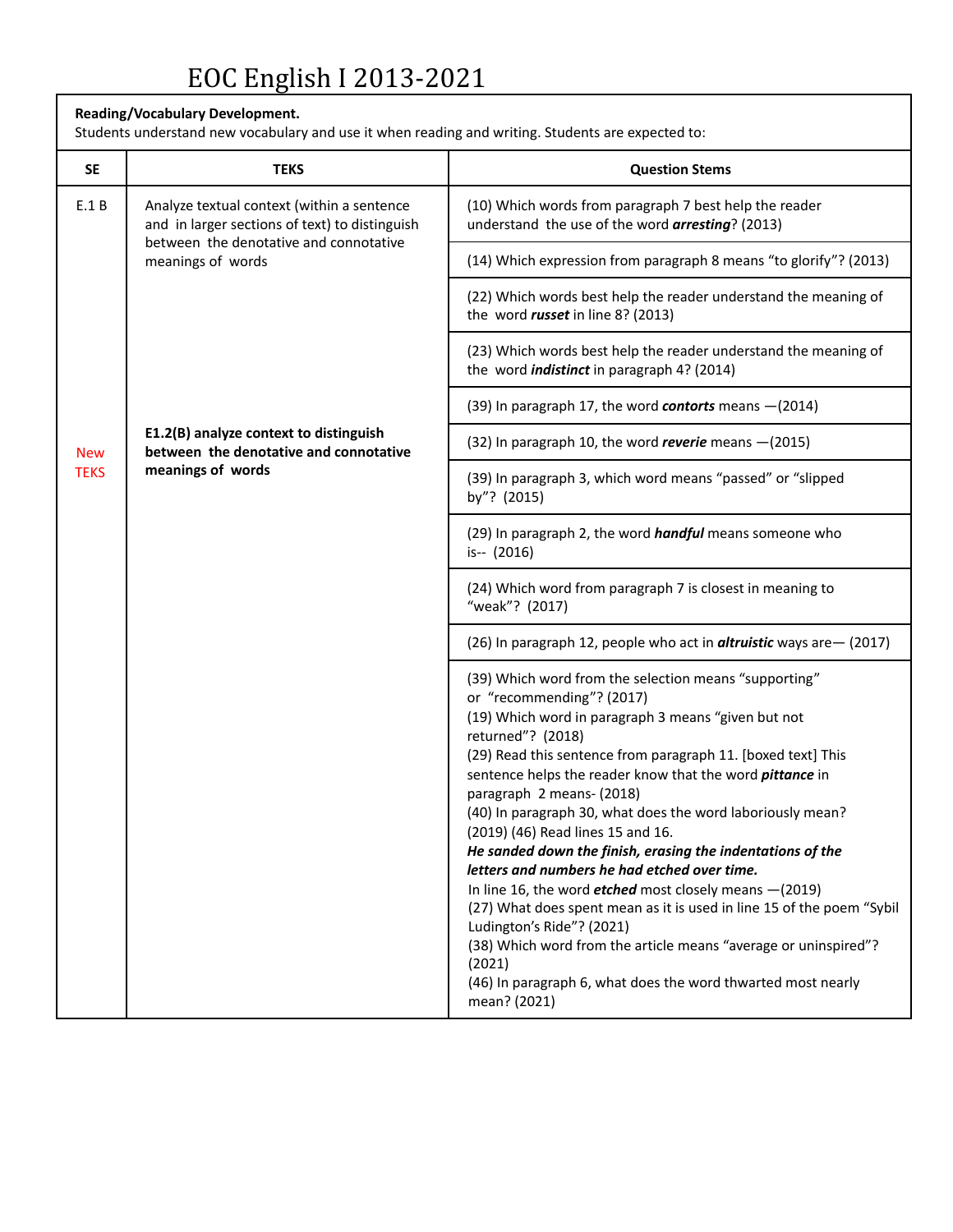#### **Reading/Vocabulary Development.**

Students understand new vocabulary and use it when reading and writing. Students are expected to:

| <b>SE</b>   | <b>TEKS</b>                                                                                                                                                 | <b>Question Stems</b>                                                                                                                                                                                                                                                                                                                                                                                                                                                                                                                                                                                                                                                                                                                                                                                                                                                                 |
|-------------|-------------------------------------------------------------------------------------------------------------------------------------------------------------|---------------------------------------------------------------------------------------------------------------------------------------------------------------------------------------------------------------------------------------------------------------------------------------------------------------------------------------------------------------------------------------------------------------------------------------------------------------------------------------------------------------------------------------------------------------------------------------------------------------------------------------------------------------------------------------------------------------------------------------------------------------------------------------------------------------------------------------------------------------------------------------|
| E.1B        | Analyze textual context (within a sentence<br>and in larger sections of text) to distinguish<br>between the denotative and connotative<br>meanings of words | (10) Which words from paragraph 7 best help the reader<br>understand the use of the word arresting? (2013)                                                                                                                                                                                                                                                                                                                                                                                                                                                                                                                                                                                                                                                                                                                                                                            |
|             |                                                                                                                                                             | (14) Which expression from paragraph 8 means "to glorify"? (2013)                                                                                                                                                                                                                                                                                                                                                                                                                                                                                                                                                                                                                                                                                                                                                                                                                     |
|             |                                                                                                                                                             | (22) Which words best help the reader understand the meaning of<br>the word russet in line 8? (2013)                                                                                                                                                                                                                                                                                                                                                                                                                                                                                                                                                                                                                                                                                                                                                                                  |
|             |                                                                                                                                                             | (23) Which words best help the reader understand the meaning of<br>the word <i>indistinct</i> in paragraph 4? (2014)                                                                                                                                                                                                                                                                                                                                                                                                                                                                                                                                                                                                                                                                                                                                                                  |
|             |                                                                                                                                                             | (39) In paragraph 17, the word contorts means - (2014)                                                                                                                                                                                                                                                                                                                                                                                                                                                                                                                                                                                                                                                                                                                                                                                                                                |
| <b>New</b>  | E1.2(B) analyze context to distinguish<br>between the denotative and connotative                                                                            | (32) In paragraph 10, the word reverie means $-(2015)$                                                                                                                                                                                                                                                                                                                                                                                                                                                                                                                                                                                                                                                                                                                                                                                                                                |
| <b>TEKS</b> | meanings of words                                                                                                                                           | (39) In paragraph 3, which word means "passed" or "slipped<br>by"? (2015)                                                                                                                                                                                                                                                                                                                                                                                                                                                                                                                                                                                                                                                                                                                                                                                                             |
|             |                                                                                                                                                             | (29) In paragraph 2, the word <i>handful</i> means someone who<br>is-- (2016)                                                                                                                                                                                                                                                                                                                                                                                                                                                                                                                                                                                                                                                                                                                                                                                                         |
|             |                                                                                                                                                             | (24) Which word from paragraph 7 is closest in meaning to<br>"weak"? (2017)                                                                                                                                                                                                                                                                                                                                                                                                                                                                                                                                                                                                                                                                                                                                                                                                           |
|             |                                                                                                                                                             | (26) In paragraph 12, people who act in <i>altruistic</i> ways are - (2017)                                                                                                                                                                                                                                                                                                                                                                                                                                                                                                                                                                                                                                                                                                                                                                                                           |
|             |                                                                                                                                                             | (39) Which word from the selection means "supporting"<br>or "recommending"? (2017)<br>(19) Which word in paragraph 3 means "given but not<br>returned"? (2018)<br>(29) Read this sentence from paragraph 11. [boxed text] This<br>sentence helps the reader know that the word <i>pittance</i> in<br>paragraph 2 means- (2018)<br>(40) In paragraph 30, what does the word laboriously mean?<br>(2019) (46) Read lines 15 and 16.<br>He sanded down the finish, erasing the indentations of the<br>letters and numbers he had etched over time.<br>In line 16, the word <b>etched</b> most closely means $-(2019)$<br>(27) What does spent mean as it is used in line 15 of the poem "Sybil<br>Ludington's Ride"? (2021)<br>(38) Which word from the article means "average or uninspired"?<br>(2021)<br>(46) In paragraph 6, what does the word thwarted most nearly<br>mean? (2021) |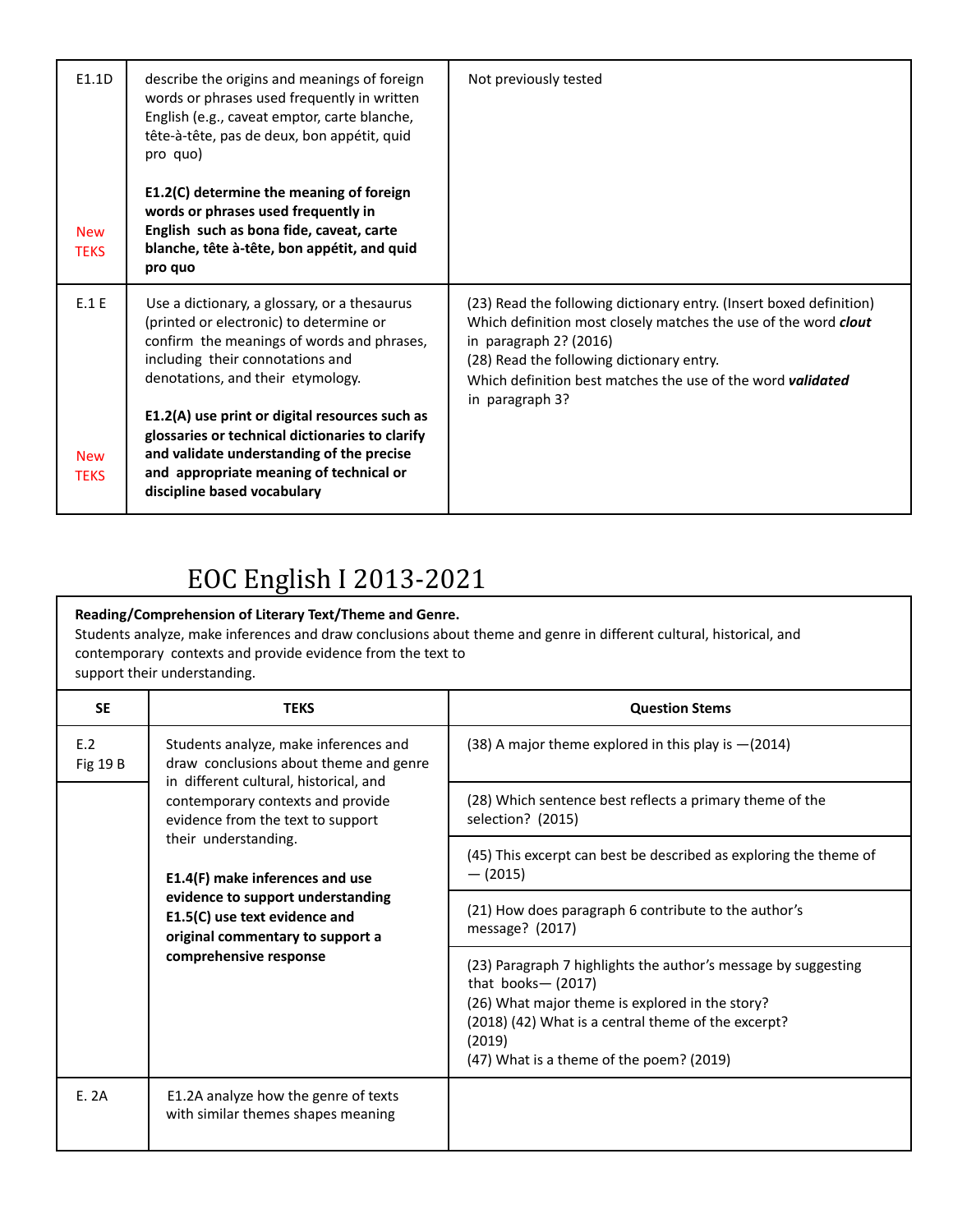| E1.1D<br><b>New</b><br><b>TEKS</b> | describe the origins and meanings of foreign<br>words or phrases used frequently in written<br>English (e.g., caveat emptor, carte blanche,<br>tête-à-tête, pas de deux, bon appétit, quid<br>pro quo)<br>E1.2(C) determine the meaning of foreign<br>words or phrases used frequently in<br>English such as bona fide, caveat, carte<br>blanche, tête à-tête, bon appétit, and quid<br>pro quo                                            | Not previously tested                                                                                                                                                                                                                                                                                  |
|------------------------------------|--------------------------------------------------------------------------------------------------------------------------------------------------------------------------------------------------------------------------------------------------------------------------------------------------------------------------------------------------------------------------------------------------------------------------------------------|--------------------------------------------------------------------------------------------------------------------------------------------------------------------------------------------------------------------------------------------------------------------------------------------------------|
| E.1 E<br><b>New</b><br><b>TFKS</b> | Use a dictionary, a glossary, or a thesaurus<br>(printed or electronic) to determine or<br>confirm the meanings of words and phrases,<br>including their connotations and<br>denotations, and their etymology.<br>E1.2(A) use print or digital resources such as<br>glossaries or technical dictionaries to clarify<br>and validate understanding of the precise<br>and appropriate meaning of technical or<br>discipline based vocabulary | (23) Read the following dictionary entry. (Insert boxed definition)<br>Which definition most closely matches the use of the word clout<br>in paragraph 2? (2016)<br>(28) Read the following dictionary entry.<br>Which definition best matches the use of the word <b>validated</b><br>in paragraph 3? |

### **Reading/Comprehension of Literary Text/Theme and Genre.** Students analyze, make inferences and draw conclusions about theme and genre in different cultural, historical, and contemporary contexts and provide evidence from the text to support their understanding.

| <b>SE</b>       | <b>TEKS</b>                                                                                                                                                                                                                                                                                                                                                                                        | <b>Question Stems</b>                                                                                                                                                                                                                                  |
|-----------------|----------------------------------------------------------------------------------------------------------------------------------------------------------------------------------------------------------------------------------------------------------------------------------------------------------------------------------------------------------------------------------------------------|--------------------------------------------------------------------------------------------------------------------------------------------------------------------------------------------------------------------------------------------------------|
| E.2<br>Fig 19 B | Students analyze, make inferences and<br>draw conclusions about theme and genre<br>in different cultural, historical, and<br>contemporary contexts and provide<br>evidence from the text to support<br>their understanding.<br>E1.4(F) make inferences and use<br>evidence to support understanding<br>E1.5(C) use text evidence and<br>original commentary to support a<br>comprehensive response | (38) A major theme explored in this play is $-(2014)$                                                                                                                                                                                                  |
|                 |                                                                                                                                                                                                                                                                                                                                                                                                    | (28) Which sentence best reflects a primary theme of the<br>selection? (2015)                                                                                                                                                                          |
|                 |                                                                                                                                                                                                                                                                                                                                                                                                    | (45) This excerpt can best be described as exploring the theme of<br>$-$ (2015)                                                                                                                                                                        |
|                 |                                                                                                                                                                                                                                                                                                                                                                                                    | (21) How does paragraph 6 contribute to the author's<br>message? (2017)                                                                                                                                                                                |
|                 |                                                                                                                                                                                                                                                                                                                                                                                                    | (23) Paragraph 7 highlights the author's message by suggesting<br>that books- $(2017)$<br>(26) What major theme is explored in the story?<br>(2018) (42) What is a central theme of the excerpt?<br>(2019)<br>(47) What is a theme of the poem? (2019) |
| E. 2A           | E1.2A analyze how the genre of texts<br>with similar themes shapes meaning                                                                                                                                                                                                                                                                                                                         |                                                                                                                                                                                                                                                        |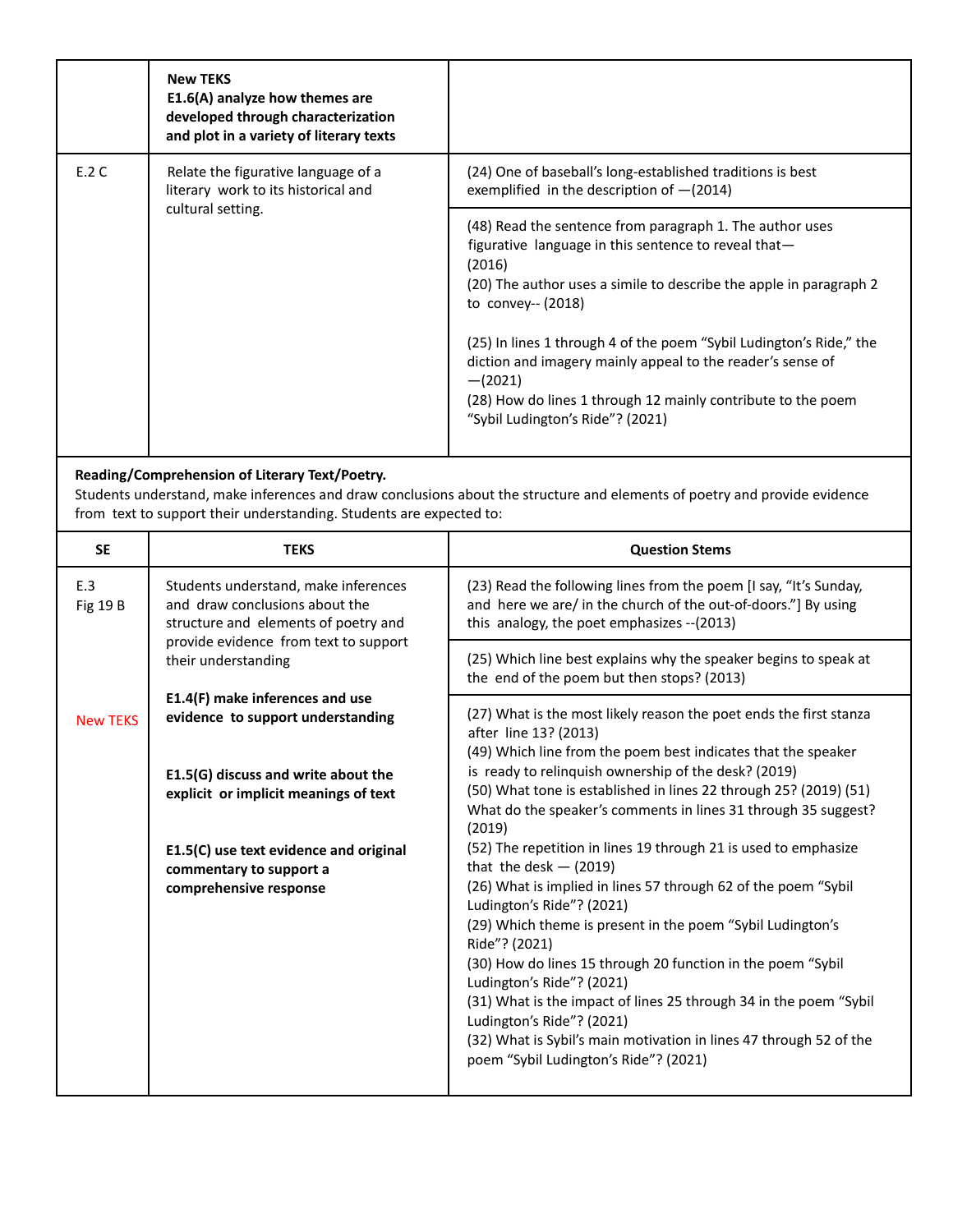|       | <b>New TEKS</b><br>E1.6(A) analyze how themes are<br>developed through characterization<br>and plot in a variety of literary texts |                                                                                                                                                                                                                                                                                                                                                                                                                                                                                |
|-------|------------------------------------------------------------------------------------------------------------------------------------|--------------------------------------------------------------------------------------------------------------------------------------------------------------------------------------------------------------------------------------------------------------------------------------------------------------------------------------------------------------------------------------------------------------------------------------------------------------------------------|
| E.2 C | Relate the figurative language of a<br>literary work to its historical and                                                         | (24) One of baseball's long-established traditions is best<br>exemplified in the description of $-(2014)$                                                                                                                                                                                                                                                                                                                                                                      |
|       | cultural setting.                                                                                                                  | (48) Read the sentence from paragraph 1. The author uses<br>figurative language in this sentence to reveal that-<br>(2016)<br>(20) The author uses a simile to describe the apple in paragraph 2<br>to convey-- $(2018)$<br>(25) In lines 1 through 4 of the poem "Sybil Ludington's Ride," the<br>diction and imagery mainly appeal to the reader's sense of<br>$-(2021)$<br>(28) How do lines 1 through 12 mainly contribute to the poem<br>"Sybil Ludington's Ride"? (2021) |

#### **Reading/Comprehension of Literary Text/Poetry.**

Students understand, make inferences and draw conclusions about the structure and elements of poetry and provide evidence from text to support their understanding. Students are expected to:

| <b>SE</b>                                                                    | <b>TEKS</b>                                                                                                    | <b>Question Stems</b>                                                                                                                                                                                                                                                                                                                                                                                                                                                                   |
|------------------------------------------------------------------------------|----------------------------------------------------------------------------------------------------------------|-----------------------------------------------------------------------------------------------------------------------------------------------------------------------------------------------------------------------------------------------------------------------------------------------------------------------------------------------------------------------------------------------------------------------------------------------------------------------------------------|
| E.3<br><b>Fig 19 B</b>                                                       | Students understand, make inferences<br>and draw conclusions about the<br>structure and elements of poetry and | (23) Read the following lines from the poem [I say, "It's Sunday,<br>and here we are/ in the church of the out-of-doors."] By using<br>this analogy, the poet emphasizes -- (2013)                                                                                                                                                                                                                                                                                                      |
|                                                                              | provide evidence from text to support<br>their understanding                                                   | (25) Which line best explains why the speaker begins to speak at<br>the end of the poem but then stops? (2013)                                                                                                                                                                                                                                                                                                                                                                          |
| <b>New TEKS</b>                                                              | E1.4(F) make inferences and use<br>evidence to support understanding                                           | (27) What is the most likely reason the poet ends the first stanza<br>after line 13? (2013)<br>(49) Which line from the poem best indicates that the speaker                                                                                                                                                                                                                                                                                                                            |
| E1.5(G) discuss and write about the<br>explicit or implicit meanings of text |                                                                                                                | is ready to relinguish ownership of the desk? (2019)<br>(50) What tone is established in lines 22 through 25? (2019) (51)<br>What do the speaker's comments in lines 31 through 35 suggest?<br>(2019)                                                                                                                                                                                                                                                                                   |
|                                                                              | E1.5(C) use text evidence and original                                                                         | (52) The repetition in lines 19 through 21 is used to emphasize<br>that the desk $-$ (2019)                                                                                                                                                                                                                                                                                                                                                                                             |
|                                                                              | commentary to support a<br>comprehensive response                                                              | (26) What is implied in lines 57 through 62 of the poem "Sybil<br>Ludington's Ride"? (2021)<br>(29) Which theme is present in the poem "Sybil Ludington's<br>Ride"? (2021)<br>(30) How do lines 15 through 20 function in the poem "Sybil<br>Ludington's Ride"? (2021)<br>(31) What is the impact of lines 25 through 34 in the poem "Sybil<br>Ludington's Ride"? (2021)<br>(32) What is Sybil's main motivation in lines 47 through 52 of the<br>poem "Sybil Ludington's Ride"? (2021) |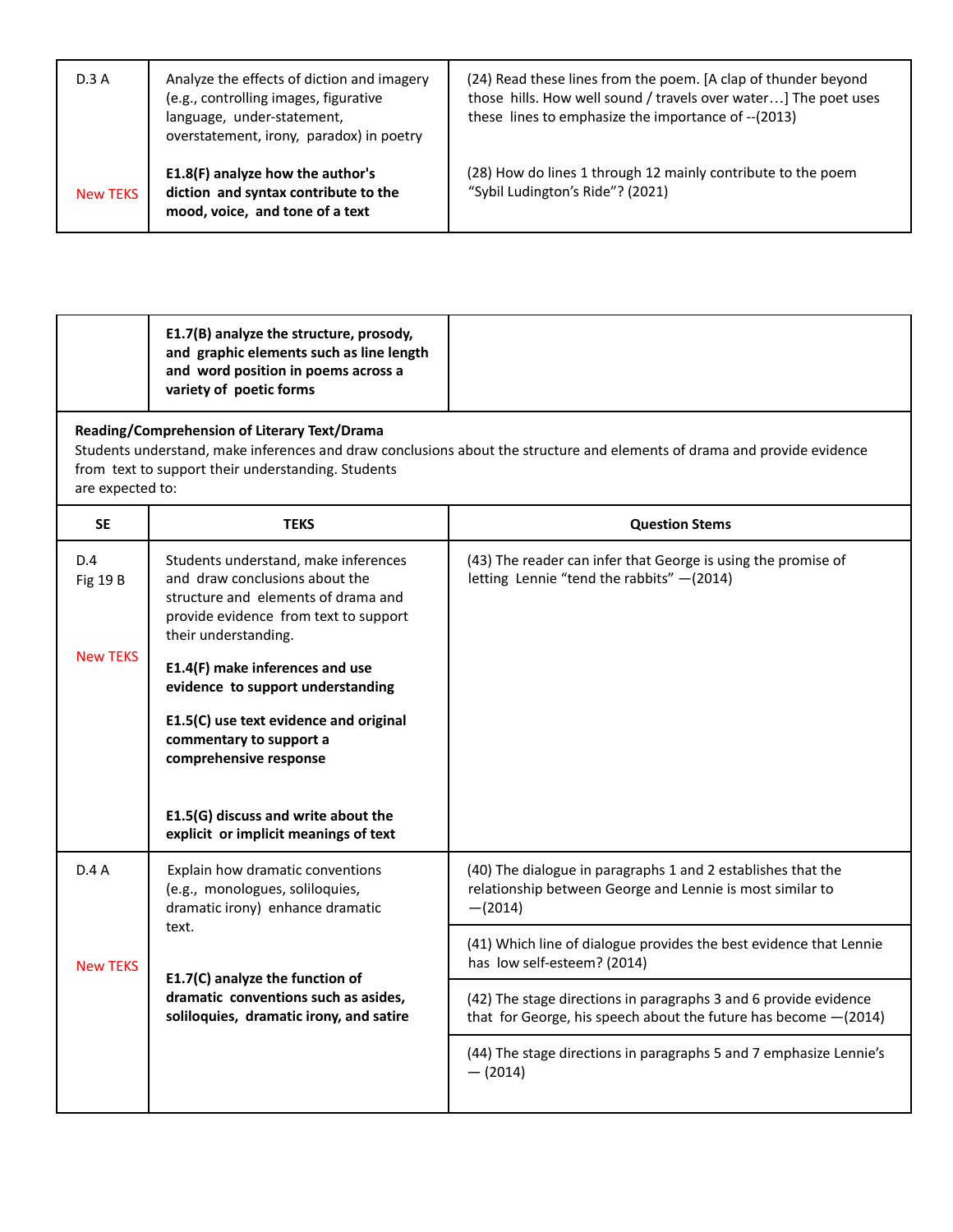| D.3A            | Analyze the effects of diction and imagery<br>(e.g., controlling images, figurative<br>language, under-statement,<br>overstatement, irony, paradox) in poetry | (24) Read these lines from the poem. [A clap of thunder beyond<br>those hills. How well sound / travels over water] The poet uses<br>these lines to emphasize the importance of --(2013) |
|-----------------|---------------------------------------------------------------------------------------------------------------------------------------------------------------|------------------------------------------------------------------------------------------------------------------------------------------------------------------------------------------|
| <b>New TEKS</b> | E1.8(F) analyze how the author's<br>diction and syntax contribute to the<br>mood, voice, and tone of a text                                                   | (28) How do lines 1 through 12 mainly contribute to the poem<br>"Sybil Ludington's Ride"? (2021)                                                                                         |

|       | E1.7(B) analyze the structure, prosody,<br>and graphic elements such as line length<br>and word position in poems across a<br>variety of poetic forms |  |
|-------|-------------------------------------------------------------------------------------------------------------------------------------------------------|--|
| - - - | .<br>- - -                                                                                                                                            |  |

### **Reading/Comprehension of Literary Text/Drama**

Students understand, make inferences and draw conclusions about the structure and elements of drama and provide evidence from text to support their understanding. Students are expected to:

| <b>SE</b>              | <b>TEKS</b>                                                                                                                                                                    | <b>Question Stems</b>                                                                                                                  |
|------------------------|--------------------------------------------------------------------------------------------------------------------------------------------------------------------------------|----------------------------------------------------------------------------------------------------------------------------------------|
| D.4<br><b>Fig 19 B</b> | Students understand, make inferences<br>and draw conclusions about the<br>structure and elements of drama and<br>provide evidence from text to support<br>their understanding. | (43) The reader can infer that George is using the promise of<br>letting Lennie "tend the rabbits" -(2014)                             |
| <b>New TEKS</b>        | E1.4(F) make inferences and use<br>evidence to support understanding                                                                                                           |                                                                                                                                        |
|                        | E1.5(C) use text evidence and original<br>commentary to support a<br>comprehensive response                                                                                    |                                                                                                                                        |
|                        | E1.5(G) discuss and write about the<br>explicit or implicit meanings of text                                                                                                   |                                                                                                                                        |
| D.4A                   | Explain how dramatic conventions<br>(e.g., monologues, soliloquies,<br>dramatic irony) enhance dramatic                                                                        | (40) The dialogue in paragraphs 1 and 2 establishes that the<br>relationship between George and Lennie is most similar to<br>$-(2014)$ |
| <b>New TEKS</b>        | text.<br>E1.7(C) analyze the function of                                                                                                                                       | (41) Which line of dialogue provides the best evidence that Lennie<br>has low self-esteem? (2014)                                      |
|                        | dramatic conventions such as asides,<br>soliloquies, dramatic irony, and satire                                                                                                | (42) The stage directions in paragraphs 3 and 6 provide evidence<br>that for George, his speech about the future has become $-(2014)$  |
|                        |                                                                                                                                                                                | (44) The stage directions in paragraphs 5 and 7 emphasize Lennie's<br>$-$ (2014)                                                       |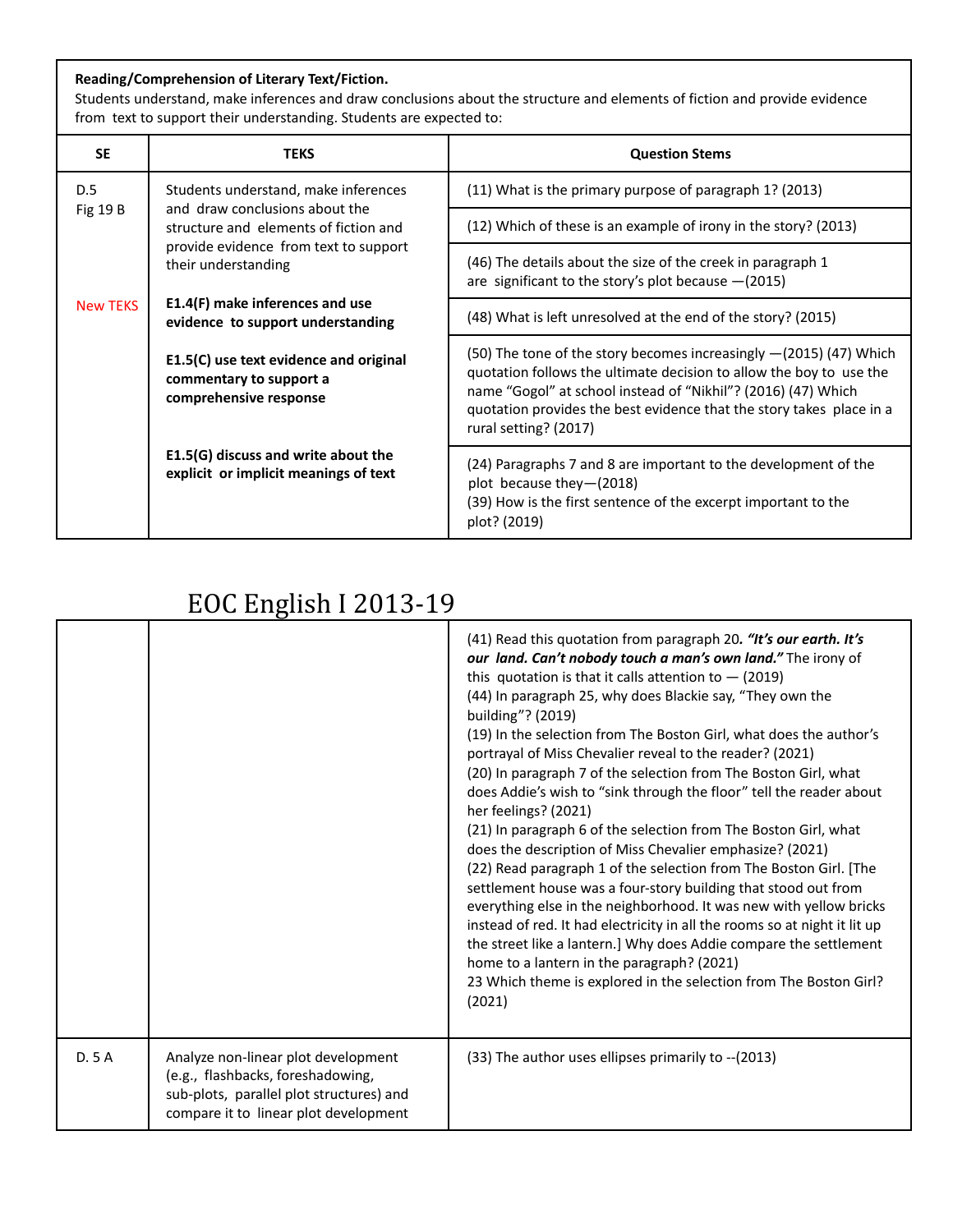#### **Reading/Comprehension of Literary Text/Fiction.**

Students understand, make inferences and draw conclusions about the structure and elements of fiction and provide evidence from text to support their understanding. Students are expected to:

| <b>SE</b>       | <b>TEKS</b>                                                                                 | <b>Question Stems</b>                                                                                                                                                                                                                                                                                         |
|-----------------|---------------------------------------------------------------------------------------------|---------------------------------------------------------------------------------------------------------------------------------------------------------------------------------------------------------------------------------------------------------------------------------------------------------------|
| D.5             | Students understand, make inferences                                                        | (11) What is the primary purpose of paragraph 1? (2013)                                                                                                                                                                                                                                                       |
| Fig $19B$       | and draw conclusions about the<br>structure and elements of fiction and                     | (12) Which of these is an example of irony in the story? (2013)                                                                                                                                                                                                                                               |
|                 | provide evidence from text to support<br>their understanding                                | (46) The details about the size of the creek in paragraph 1<br>are significant to the story's plot because $-(2015)$                                                                                                                                                                                          |
| <b>New TEKS</b> | E1.4(F) make inferences and use<br>evidence to support understanding                        | (48) What is left unresolved at the end of the story? (2015)                                                                                                                                                                                                                                                  |
|                 | E1.5(C) use text evidence and original<br>commentary to support a<br>comprehensive response | (50) The tone of the story becomes increasingly $-(2015)$ (47) Which<br>quotation follows the ultimate decision to allow the boy to use the<br>name "Gogol" at school instead of "Nikhil"? (2016) (47) Which<br>quotation provides the best evidence that the story takes place in a<br>rural setting? (2017) |
|                 | E1.5(G) discuss and write about the<br>explicit or implicit meanings of text                | (24) Paragraphs 7 and 8 are important to the development of the<br>plot because they-(2018)<br>(39) How is the first sentence of the excerpt important to the<br>plot? (2019)                                                                                                                                 |

|      |                                                                                                                                                               | (41) Read this quotation from paragraph 20. "It's our earth. It's<br>our land. Can't nobody touch a man's own land." The irony of<br>this quotation is that it calls attention to $-$ (2019)<br>(44) In paragraph 25, why does Blackie say, "They own the<br>building"? (2019)<br>(19) In the selection from The Boston Girl, what does the author's<br>portrayal of Miss Chevalier reveal to the reader? (2021)<br>(20) In paragraph 7 of the selection from The Boston Girl, what<br>does Addie's wish to "sink through the floor" tell the reader about<br>her feelings? (2021)<br>(21) In paragraph 6 of the selection from The Boston Girl, what<br>does the description of Miss Chevalier emphasize? (2021)<br>(22) Read paragraph 1 of the selection from The Boston Girl. [The<br>settlement house was a four-story building that stood out from<br>everything else in the neighborhood. It was new with yellow bricks<br>instead of red. It had electricity in all the rooms so at night it lit up<br>the street like a lantern.] Why does Addie compare the settlement<br>home to a lantern in the paragraph? (2021)<br>23 Which theme is explored in the selection from The Boston Girl?<br>(2021) |
|------|---------------------------------------------------------------------------------------------------------------------------------------------------------------|---------------------------------------------------------------------------------------------------------------------------------------------------------------------------------------------------------------------------------------------------------------------------------------------------------------------------------------------------------------------------------------------------------------------------------------------------------------------------------------------------------------------------------------------------------------------------------------------------------------------------------------------------------------------------------------------------------------------------------------------------------------------------------------------------------------------------------------------------------------------------------------------------------------------------------------------------------------------------------------------------------------------------------------------------------------------------------------------------------------------------------------------------------------------------------------------------------------|
| D.5A | Analyze non-linear plot development<br>(e.g., flashbacks, foreshadowing,<br>sub-plots, parallel plot structures) and<br>compare it to linear plot development | (33) The author uses ellipses primarily to -- (2013)                                                                                                                                                                                                                                                                                                                                                                                                                                                                                                                                                                                                                                                                                                                                                                                                                                                                                                                                                                                                                                                                                                                                                          |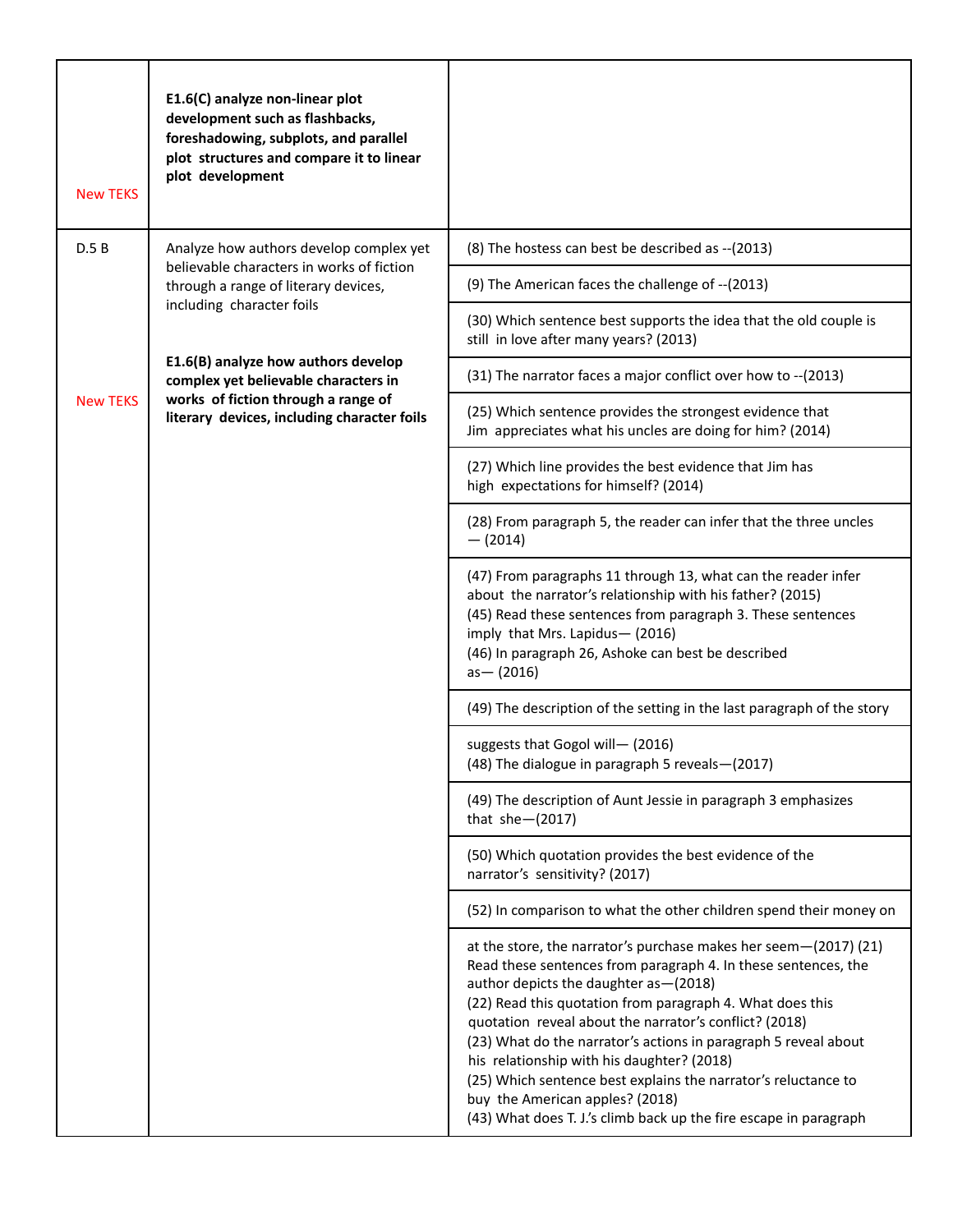| <b>New TEKS</b> | E1.6(C) analyze non-linear plot<br>development such as flashbacks,<br>foreshadowing, subplots, and parallel<br>plot structures and compare it to linear<br>plot development |                                                                                                                                                                                                                                                                                                                                                                                                                                                                                                                                                                                                 |
|-----------------|-----------------------------------------------------------------------------------------------------------------------------------------------------------------------------|-------------------------------------------------------------------------------------------------------------------------------------------------------------------------------------------------------------------------------------------------------------------------------------------------------------------------------------------------------------------------------------------------------------------------------------------------------------------------------------------------------------------------------------------------------------------------------------------------|
| D.5B            | Analyze how authors develop complex yet<br>believable characters in works of fiction                                                                                        | (8) The hostess can best be described as -- (2013)                                                                                                                                                                                                                                                                                                                                                                                                                                                                                                                                              |
|                 | through a range of literary devices,<br>including character foils                                                                                                           | (9) The American faces the challenge of -- (2013)                                                                                                                                                                                                                                                                                                                                                                                                                                                                                                                                               |
|                 |                                                                                                                                                                             | (30) Which sentence best supports the idea that the old couple is<br>still in love after many years? (2013)                                                                                                                                                                                                                                                                                                                                                                                                                                                                                     |
|                 | E1.6(B) analyze how authors develop<br>complex yet believable characters in                                                                                                 | (31) The narrator faces a major conflict over how to -- (2013)                                                                                                                                                                                                                                                                                                                                                                                                                                                                                                                                  |
| <b>New TEKS</b> | works of fiction through a range of<br>literary devices, including character foils                                                                                          | (25) Which sentence provides the strongest evidence that<br>Jim appreciates what his uncles are doing for him? (2014)                                                                                                                                                                                                                                                                                                                                                                                                                                                                           |
|                 |                                                                                                                                                                             | (27) Which line provides the best evidence that Jim has<br>high expectations for himself? (2014)                                                                                                                                                                                                                                                                                                                                                                                                                                                                                                |
|                 |                                                                                                                                                                             | (28) From paragraph 5, the reader can infer that the three uncles<br>$-$ (2014)                                                                                                                                                                                                                                                                                                                                                                                                                                                                                                                 |
|                 |                                                                                                                                                                             | (47) From paragraphs 11 through 13, what can the reader infer<br>about the narrator's relationship with his father? (2015)<br>(45) Read these sentences from paragraph 3. These sentences<br>imply that Mrs. Lapidus-(2016)<br>(46) In paragraph 26, Ashoke can best be described<br>$as - (2016)$                                                                                                                                                                                                                                                                                              |
|                 |                                                                                                                                                                             | (49) The description of the setting in the last paragraph of the story                                                                                                                                                                                                                                                                                                                                                                                                                                                                                                                          |
|                 |                                                                                                                                                                             | suggests that Gogol will- (2016)<br>(48) The dialogue in paragraph 5 reveals-(2017)                                                                                                                                                                                                                                                                                                                                                                                                                                                                                                             |
|                 |                                                                                                                                                                             | (49) The description of Aunt Jessie in paragraph 3 emphasizes<br>that $she-(2017)$                                                                                                                                                                                                                                                                                                                                                                                                                                                                                                              |
|                 |                                                                                                                                                                             | (50) Which quotation provides the best evidence of the<br>narrator's sensitivity? (2017)                                                                                                                                                                                                                                                                                                                                                                                                                                                                                                        |
|                 |                                                                                                                                                                             | (52) In comparison to what the other children spend their money on                                                                                                                                                                                                                                                                                                                                                                                                                                                                                                                              |
|                 |                                                                                                                                                                             | at the store, the narrator's purchase makes her seem-(2017) (21)<br>Read these sentences from paragraph 4. In these sentences, the<br>author depicts the daughter as - (2018)<br>(22) Read this quotation from paragraph 4. What does this<br>quotation reveal about the narrator's conflict? (2018)<br>(23) What do the narrator's actions in paragraph 5 reveal about<br>his relationship with his daughter? (2018)<br>(25) Which sentence best explains the narrator's reluctance to<br>buy the American apples? (2018)<br>(43) What does T. J.'s climb back up the fire escape in paragraph |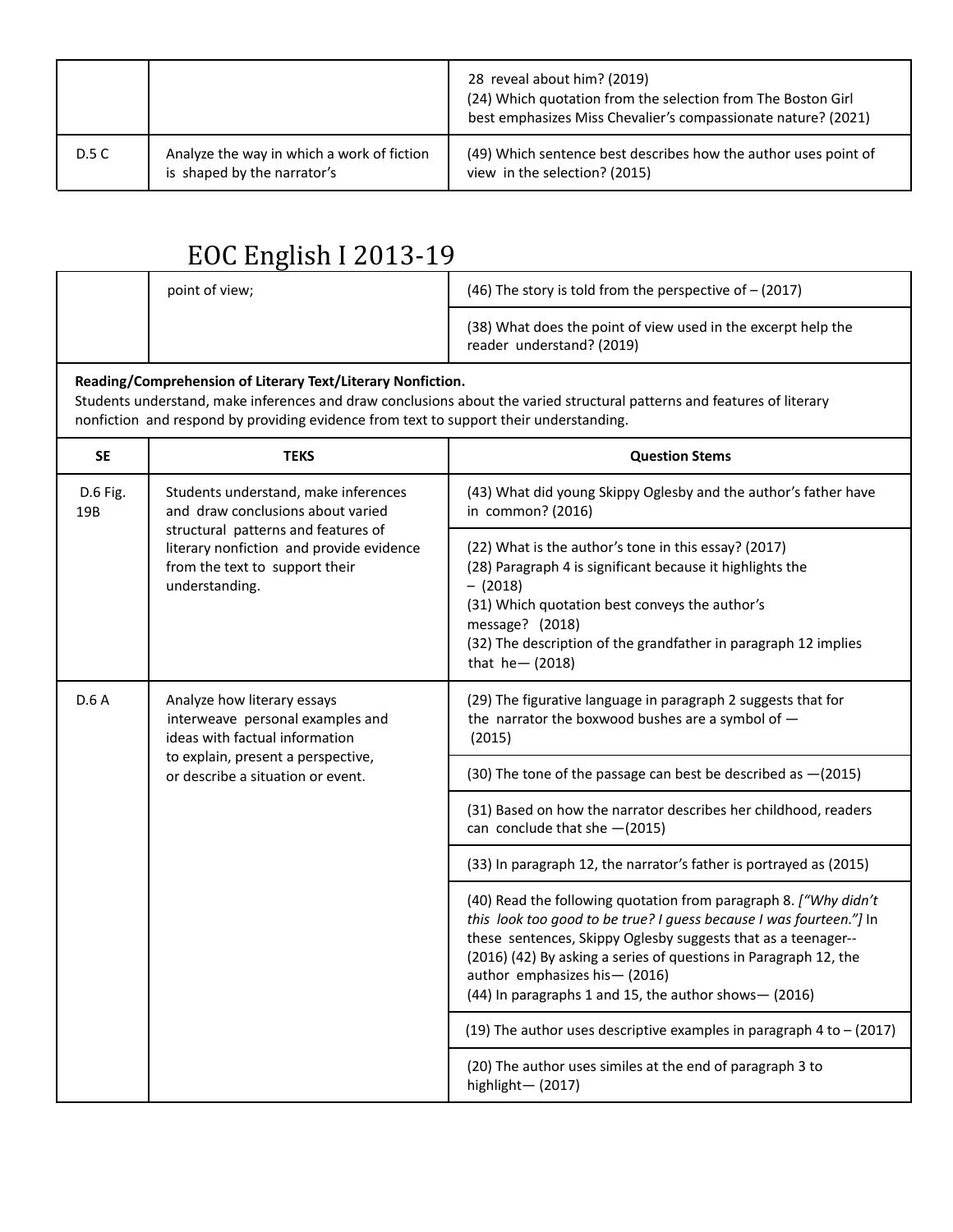|       |                                                                           | 28 reveal about him? (2019)<br>(24) Which quotation from the selection from The Boston Girl<br>best emphasizes Miss Chevalier's compassionate nature? (2021) |
|-------|---------------------------------------------------------------------------|--------------------------------------------------------------------------------------------------------------------------------------------------------------|
| D.5 C | Analyze the way in which a work of fiction<br>is shaped by the narrator's | (49) Which sentence best describes how the author uses point of<br>view in the selection? (2015)                                                             |

| point of view; | (46) The story is told from the perspective of $-$ (2017)                                  |
|----------------|--------------------------------------------------------------------------------------------|
|                | (38) What does the point of view used in the excerpt help the<br>reader understand? (2019) |
|                |                                                                                            |

#### **Reading/Comprehension of Literary Text/Literary Nonfiction.**

Students understand, make inferences and draw conclusions about the varied structural patterns and features of literary nonfiction and respond by providing evidence from text to support their understanding.

| <b>SE</b>       | <b>TEKS</b>                                                                                                                                                                                                      | <b>Question Stems</b>                                                                                                                                                                                                                                                                                                                                                   |
|-----------------|------------------------------------------------------------------------------------------------------------------------------------------------------------------------------------------------------------------|-------------------------------------------------------------------------------------------------------------------------------------------------------------------------------------------------------------------------------------------------------------------------------------------------------------------------------------------------------------------------|
| D.6 Fig.<br>19B | Students understand, make inferences<br>and draw conclusions about varied<br>structural patterns and features of<br>literary nonfiction and provide evidence<br>from the text to support their<br>understanding. | (43) What did young Skippy Oglesby and the author's father have<br>in common? (2016)                                                                                                                                                                                                                                                                                    |
|                 |                                                                                                                                                                                                                  | (22) What is the author's tone in this essay? (2017)<br>(28) Paragraph 4 is significant because it highlights the<br>$-$ (2018)<br>(31) Which quotation best conveys the author's<br>message? (2018)<br>(32) The description of the grandfather in paragraph 12 implies<br>that $he - (2018)$                                                                           |
| D.6A            | Analyze how literary essays<br>interweave personal examples and<br>ideas with factual information<br>to explain, present a perspective,<br>or describe a situation or event.                                     | (29) The figurative language in paragraph 2 suggests that for<br>the narrator the boxwood bushes are a symbol of $-$<br>(2015)                                                                                                                                                                                                                                          |
|                 |                                                                                                                                                                                                                  | (30) The tone of the passage can best be described as -(2015)                                                                                                                                                                                                                                                                                                           |
|                 |                                                                                                                                                                                                                  | (31) Based on how the narrator describes her childhood, readers<br>can conclude that she $-(2015)$                                                                                                                                                                                                                                                                      |
|                 |                                                                                                                                                                                                                  | (33) In paragraph 12, the narrator's father is portrayed as (2015)                                                                                                                                                                                                                                                                                                      |
|                 |                                                                                                                                                                                                                  | (40) Read the following quotation from paragraph 8. ["Why didn't<br>this look too good to be true? I guess because I was fourteen."] In<br>these sentences, Skippy Oglesby suggests that as a teenager--<br>(2016) (42) By asking a series of questions in Paragraph 12, the<br>author emphasizes his - (2016)<br>(44) In paragraphs 1 and 15, the author shows- (2016) |
|                 |                                                                                                                                                                                                                  | (19) The author uses descriptive examples in paragraph 4 to $-$ (2017)                                                                                                                                                                                                                                                                                                  |
|                 |                                                                                                                                                                                                                  | (20) The author uses similes at the end of paragraph 3 to<br>highlight-(2017)                                                                                                                                                                                                                                                                                           |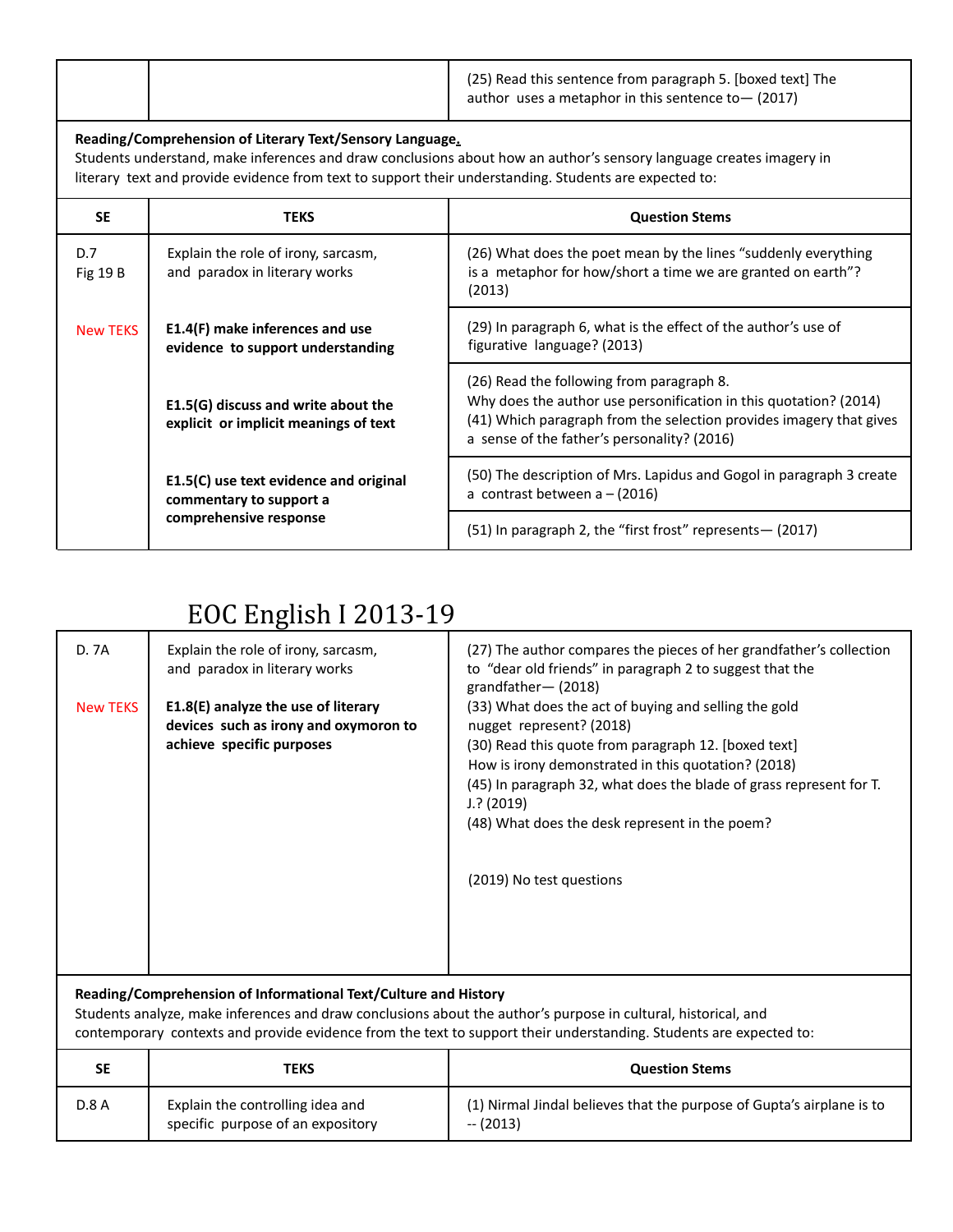|  | (25) Read this sentence from paragraph 5. [boxed text] The |
|--|------------------------------------------------------------|
|  | author uses a metaphor in this sentence to $-$ (2017)      |

#### **Reading/Comprehension of Literary Text/Sensory Language.**

Students understand, make inferences and draw conclusions about how an author's sensory language creates imagery in literary text and provide evidence from text to support their understanding. Students are expected to:

| <b>SE</b>              | <b>TEKS</b>                                                                  | <b>Question Stems</b>                                                                                                                                                                                                                |
|------------------------|------------------------------------------------------------------------------|--------------------------------------------------------------------------------------------------------------------------------------------------------------------------------------------------------------------------------------|
| D.7<br><b>Fig 19 B</b> | Explain the role of irony, sarcasm,<br>and paradox in literary works         | (26) What does the poet mean by the lines "suddenly everything<br>is a metaphor for how/short a time we are granted on earth"?<br>(2013)                                                                                             |
| <b>New TEKS</b>        | E1.4(F) make inferences and use<br>evidence to support understanding         | (29) In paragraph 6, what is the effect of the author's use of<br>figurative language? (2013)                                                                                                                                        |
|                        | E1.5(G) discuss and write about the<br>explicit or implicit meanings of text | (26) Read the following from paragraph 8.<br>Why does the author use personification in this quotation? (2014)<br>(41) Which paragraph from the selection provides imagery that gives<br>a sense of the father's personality? (2016) |
|                        | E1.5(C) use text evidence and original<br>commentary to support a            | (50) The description of Mrs. Lapidus and Gogol in paragraph 3 create<br>a contrast between $a - (2016)$                                                                                                                              |
|                        | comprehensive response                                                       | (51) In paragraph 2, the "first frost" represents - (2017)                                                                                                                                                                           |

## EOC English I 2013-19

| D. 7A                                                           | Explain the role of irony, sarcasm,<br>and paradox in literary works                                      | (27) The author compares the pieces of her grandfather's collection<br>to "dear old friends" in paragraph 2 to suggest that the<br>grandfather- (2018)                                                                                                                                                                                                                 |
|-----------------------------------------------------------------|-----------------------------------------------------------------------------------------------------------|------------------------------------------------------------------------------------------------------------------------------------------------------------------------------------------------------------------------------------------------------------------------------------------------------------------------------------------------------------------------|
| <b>New TEKS</b>                                                 | E1.8(E) analyze the use of literary<br>devices such as irony and oxymoron to<br>achieve specific purposes | (33) What does the act of buying and selling the gold<br>nugget represent? (2018)<br>(30) Read this quote from paragraph 12. [boxed text]<br>How is irony demonstrated in this quotation? (2018)<br>(45) In paragraph 32, what does the blade of grass represent for T.<br>$J$ .? (2019)<br>(48) What does the desk represent in the poem?<br>(2019) No test questions |
| Reading/Comprehension of Informational Text/Culture and History |                                                                                                           |                                                                                                                                                                                                                                                                                                                                                                        |

Students analyze, make inferences and draw conclusions about the author's purpose in cultural, historical, and contemporary contexts and provide evidence from the text to support their understanding. Students are expected to:

| SΕ           | TEKS                                                                  | <b>Question Stems</b>                                                               |
|--------------|-----------------------------------------------------------------------|-------------------------------------------------------------------------------------|
| <b>D.8 A</b> | Explain the controlling idea and<br>specific purpose of an expository | (1) Nirmal Jindal believes that the purpose of Gupta's airplane is to<br>$- (2013)$ |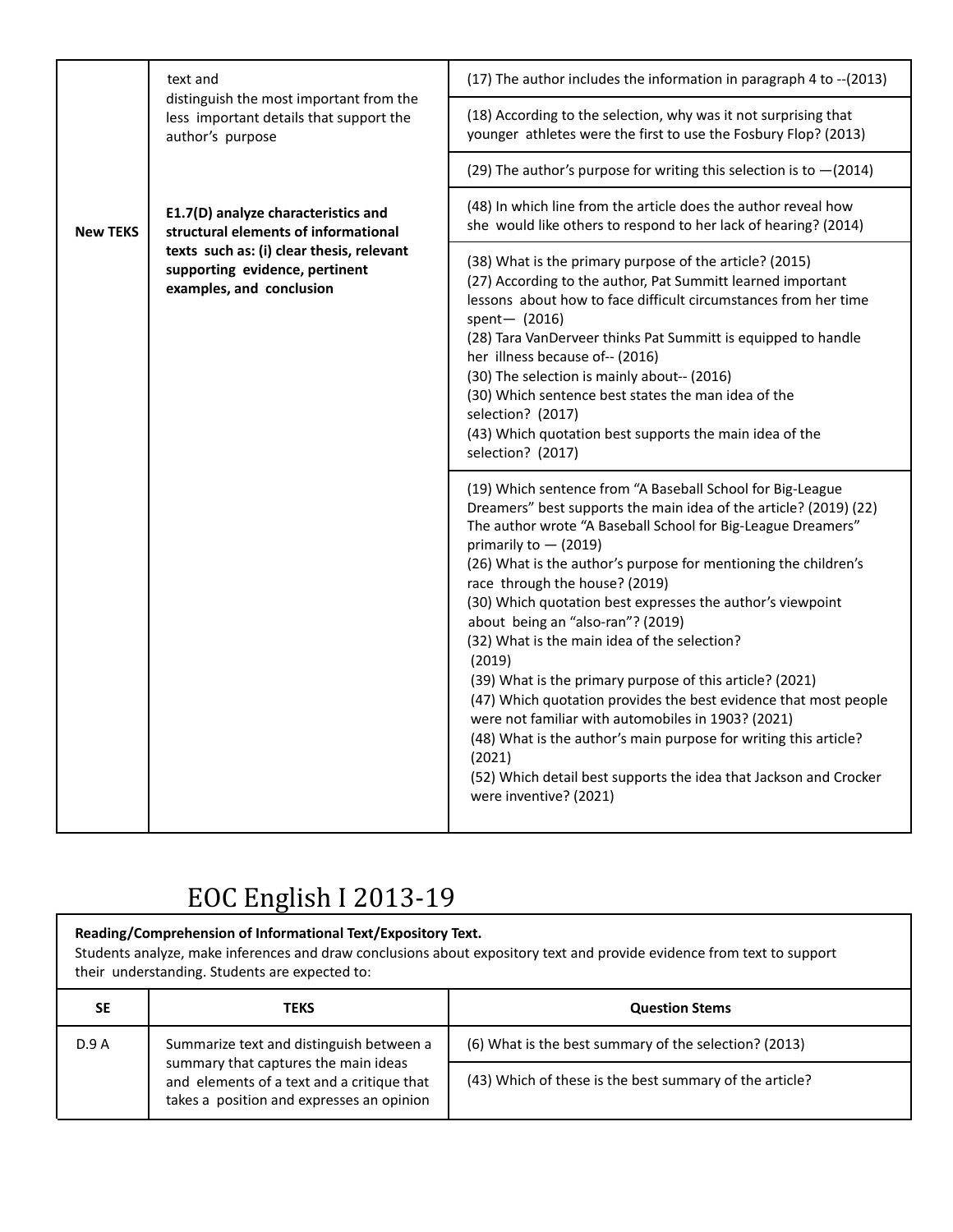|                 | text and<br>distinguish the most important from the<br>less important details that support the<br>author's purpose                                                                     | (17) The author includes the information in paragraph 4 to -- (2013)                                                                                                                                                                                                                                                                                                                                                                                                                                                                                                                                                                                                                                                                                                                                                                                            |
|-----------------|----------------------------------------------------------------------------------------------------------------------------------------------------------------------------------------|-----------------------------------------------------------------------------------------------------------------------------------------------------------------------------------------------------------------------------------------------------------------------------------------------------------------------------------------------------------------------------------------------------------------------------------------------------------------------------------------------------------------------------------------------------------------------------------------------------------------------------------------------------------------------------------------------------------------------------------------------------------------------------------------------------------------------------------------------------------------|
|                 |                                                                                                                                                                                        | (18) According to the selection, why was it not surprising that<br>younger athletes were the first to use the Fosbury Flop? (2013)                                                                                                                                                                                                                                                                                                                                                                                                                                                                                                                                                                                                                                                                                                                              |
|                 |                                                                                                                                                                                        | (29) The author's purpose for writing this selection is to $-(2014)$                                                                                                                                                                                                                                                                                                                                                                                                                                                                                                                                                                                                                                                                                                                                                                                            |
| <b>New TEKS</b> | E1.7(D) analyze characteristics and<br>structural elements of informational<br>texts such as: (i) clear thesis, relevant<br>supporting evidence, pertinent<br>examples, and conclusion | (48) In which line from the article does the author reveal how<br>she would like others to respond to her lack of hearing? (2014)                                                                                                                                                                                                                                                                                                                                                                                                                                                                                                                                                                                                                                                                                                                               |
|                 |                                                                                                                                                                                        | (38) What is the primary purpose of the article? (2015)<br>(27) According to the author, Pat Summitt learned important<br>lessons about how to face difficult circumstances from her time<br>spent- (2016)<br>(28) Tara VanDerveer thinks Pat Summitt is equipped to handle<br>her illness because of-- (2016)<br>(30) The selection is mainly about-- (2016)<br>(30) Which sentence best states the man idea of the<br>selection? (2017)<br>(43) Which quotation best supports the main idea of the<br>selection? (2017)                                                                                                                                                                                                                                                                                                                                       |
|                 |                                                                                                                                                                                        | (19) Which sentence from "A Baseball School for Big-League<br>Dreamers" best supports the main idea of the article? (2019) (22)<br>The author wrote "A Baseball School for Big-League Dreamers"<br>primarily to $-$ (2019)<br>(26) What is the author's purpose for mentioning the children's<br>race through the house? (2019)<br>(30) Which quotation best expresses the author's viewpoint<br>about being an "also-ran"? (2019)<br>(32) What is the main idea of the selection?<br>(2019)<br>(39) What is the primary purpose of this article? (2021)<br>(47) Which quotation provides the best evidence that most people<br>were not familiar with automobiles in 1903? (2021)<br>(48) What is the author's main purpose for writing this article?<br>(2021)<br>(52) Which detail best supports the idea that Jackson and Crocker<br>were inventive? (2021) |

#### **Reading/Comprehension of Informational Text/Expository Text.** Students analyze, make inferences and draw conclusions about expository text and provide evidence from text to support their understanding. Students are expected to: **SE TEKS Question Stems** D.9 A Summarize text and distinguish between a summary that captures the main ideas and elements of a text and a critique that takes a position and expresses an opinion (6) What is the best summary of the selection? (2013) (43) Which of these is the best summary of the article?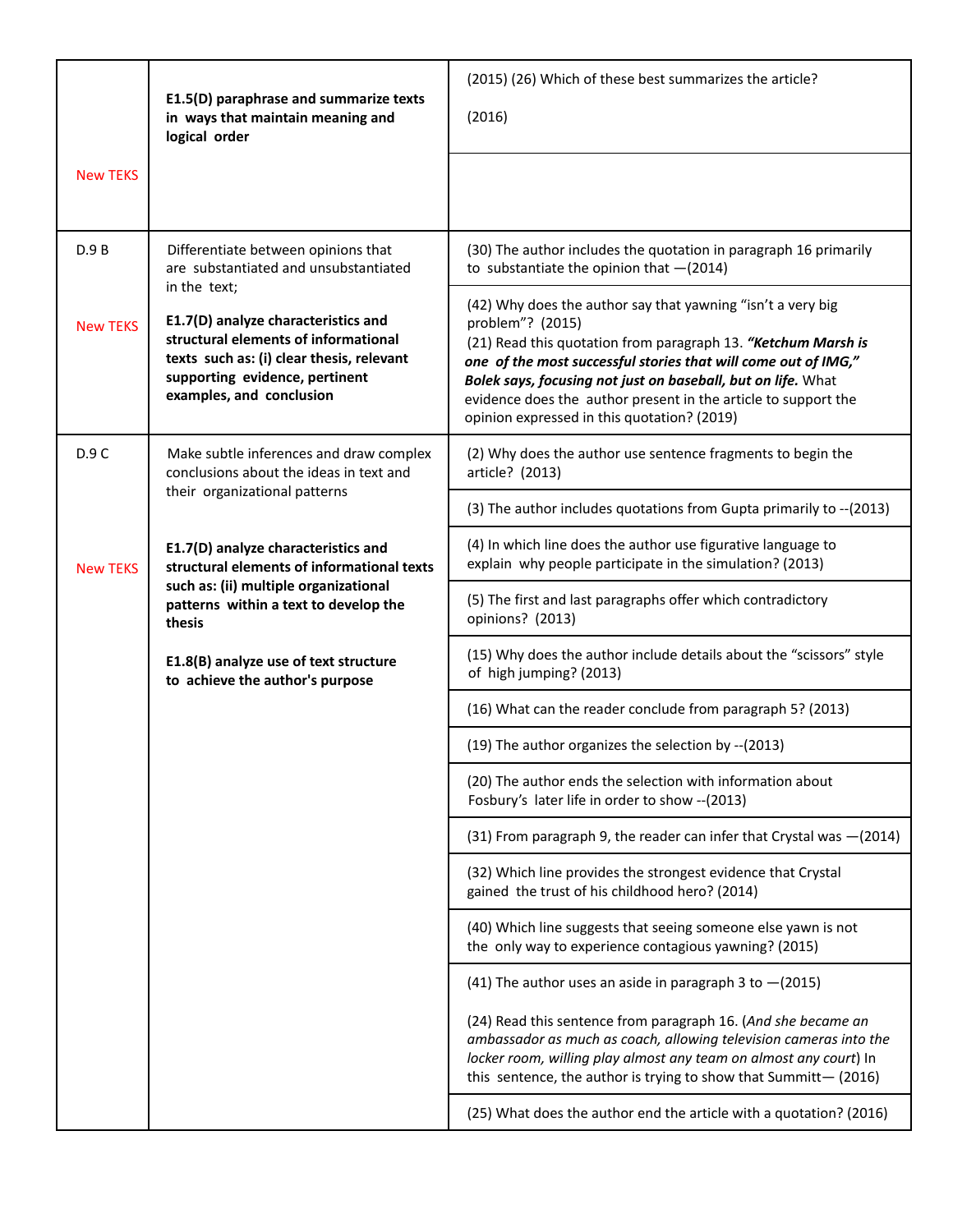|                 | E1.5(D) paraphrase and summarize texts<br>in ways that maintain meaning and<br>logical order                                                                                           | (2015) (26) Which of these best summarizes the article?<br>(2016)                                                                                                                                                                                                                                                                                                                                   |
|-----------------|----------------------------------------------------------------------------------------------------------------------------------------------------------------------------------------|-----------------------------------------------------------------------------------------------------------------------------------------------------------------------------------------------------------------------------------------------------------------------------------------------------------------------------------------------------------------------------------------------------|
| <b>New TEKS</b> |                                                                                                                                                                                        |                                                                                                                                                                                                                                                                                                                                                                                                     |
| D.9B            | Differentiate between opinions that<br>are substantiated and unsubstantiated<br>in the text;                                                                                           | (30) The author includes the quotation in paragraph 16 primarily<br>to substantiate the opinion that $-(2014)$                                                                                                                                                                                                                                                                                      |
| <b>New TEKS</b> | E1.7(D) analyze characteristics and<br>structural elements of informational<br>texts such as: (i) clear thesis, relevant<br>supporting evidence, pertinent<br>examples, and conclusion | (42) Why does the author say that yawning "isn't a very big<br>problem"? (2015)<br>(21) Read this quotation from paragraph 13. "Ketchum Marsh is<br>one of the most successful stories that will come out of IMG,"<br>Bolek says, focusing not just on baseball, but on life. What<br>evidence does the author present in the article to support the<br>opinion expressed in this quotation? (2019) |
| D.9 C           | Make subtle inferences and draw complex<br>conclusions about the ideas in text and                                                                                                     | (2) Why does the author use sentence fragments to begin the<br>article? (2013)                                                                                                                                                                                                                                                                                                                      |
|                 | their organizational patterns                                                                                                                                                          | (3) The author includes quotations from Gupta primarily to -- (2013)                                                                                                                                                                                                                                                                                                                                |
| <b>New TEKS</b> | E1.7(D) analyze characteristics and<br>structural elements of informational texts<br>such as: (ii) multiple organizational<br>patterns within a text to develop the<br>thesis          | (4) In which line does the author use figurative language to<br>explain why people participate in the simulation? (2013)                                                                                                                                                                                                                                                                            |
|                 |                                                                                                                                                                                        | (5) The first and last paragraphs offer which contradictory<br>opinions? (2013)                                                                                                                                                                                                                                                                                                                     |
|                 | E1.8(B) analyze use of text structure<br>to achieve the author's purpose                                                                                                               | (15) Why does the author include details about the "scissors" style<br>of high jumping? (2013)                                                                                                                                                                                                                                                                                                      |
|                 |                                                                                                                                                                                        | (16) What can the reader conclude from paragraph 5? (2013)                                                                                                                                                                                                                                                                                                                                          |
|                 |                                                                                                                                                                                        | (19) The author organizes the selection by -- (2013)                                                                                                                                                                                                                                                                                                                                                |
|                 |                                                                                                                                                                                        | (20) The author ends the selection with information about<br>Fosbury's later life in order to show -- (2013)                                                                                                                                                                                                                                                                                        |
|                 |                                                                                                                                                                                        | (31) From paragraph 9, the reader can infer that Crystal was -(2014)                                                                                                                                                                                                                                                                                                                                |
|                 |                                                                                                                                                                                        | (32) Which line provides the strongest evidence that Crystal<br>gained the trust of his childhood hero? (2014)                                                                                                                                                                                                                                                                                      |
|                 |                                                                                                                                                                                        | (40) Which line suggests that seeing someone else yawn is not<br>the only way to experience contagious yawning? (2015)                                                                                                                                                                                                                                                                              |
|                 |                                                                                                                                                                                        | (41) The author uses an aside in paragraph 3 to $-(2015)$                                                                                                                                                                                                                                                                                                                                           |
|                 |                                                                                                                                                                                        | (24) Read this sentence from paragraph 16. (And she became an<br>ambassador as much as coach, allowing television cameras into the<br>locker room, willing play almost any team on almost any court) In<br>this sentence, the author is trying to show that Summitt- $(2016)$                                                                                                                       |
|                 |                                                                                                                                                                                        | (25) What does the author end the article with a quotation? (2016)                                                                                                                                                                                                                                                                                                                                  |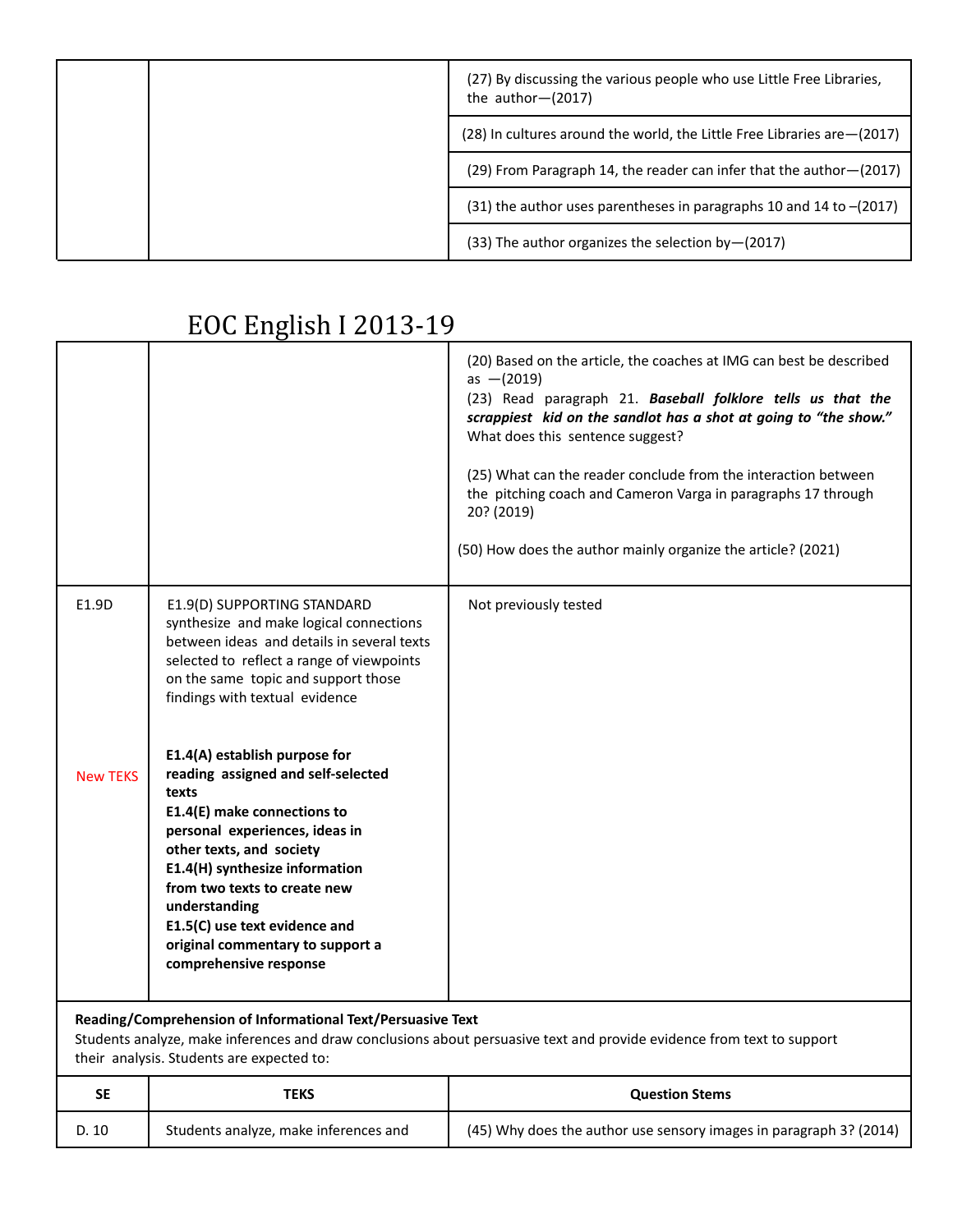|  | (27) By discussing the various people who use Little Free Libraries,<br>the author $-(2017)$ |                                                                           |
|--|----------------------------------------------------------------------------------------------|---------------------------------------------------------------------------|
|  |                                                                                              | (28) In cultures around the world, the Little Free Libraries are - (2017) |
|  | (29) From Paragraph 14, the reader can infer that the author–(2017)                          |                                                                           |
|  | $(31)$ the author uses parentheses in paragraphs 10 and 14 to $-(2017)$                      |                                                                           |
|  | (33) The author organizes the selection by-(2017)                                            |                                                                           |

|                                                                                                                                                                                                                                    |                                                                                                                                                                                                                                                                                                                                                             | (20) Based on the article, the coaches at IMG can best be described<br>as $-(2019)$<br>(23) Read paragraph 21. Baseball folklore tells us that the<br>scrappiest kid on the sandlot has a shot at going to "the show."<br>What does this sentence suggest?<br>(25) What can the reader conclude from the interaction between<br>the pitching coach and Cameron Varga in paragraphs 17 through<br>20? (2019)<br>(50) How does the author mainly organize the article? (2021) |
|------------------------------------------------------------------------------------------------------------------------------------------------------------------------------------------------------------------------------------|-------------------------------------------------------------------------------------------------------------------------------------------------------------------------------------------------------------------------------------------------------------------------------------------------------------------------------------------------------------|-----------------------------------------------------------------------------------------------------------------------------------------------------------------------------------------------------------------------------------------------------------------------------------------------------------------------------------------------------------------------------------------------------------------------------------------------------------------------------|
| E1.9D                                                                                                                                                                                                                              | E1.9(D) SUPPORTING STANDARD<br>synthesize and make logical connections<br>between ideas and details in several texts<br>selected to reflect a range of viewpoints<br>on the same topic and support those<br>findings with textual evidence                                                                                                                  | Not previously tested                                                                                                                                                                                                                                                                                                                                                                                                                                                       |
| <b>New TEKS</b>                                                                                                                                                                                                                    | E1.4(A) establish purpose for<br>reading assigned and self-selected<br>texts<br>E1.4(E) make connections to<br>personal experiences, ideas in<br>other texts, and society<br>E1.4(H) synthesize information<br>from two texts to create new<br>understanding<br>E1.5(C) use text evidence and<br>original commentary to support a<br>comprehensive response |                                                                                                                                                                                                                                                                                                                                                                                                                                                                             |
| Reading/Comprehension of Informational Text/Persuasive Text<br>Students analyze, make inferences and draw conclusions about persuasive text and provide evidence from text to support<br>their analysis. Students are expected to: |                                                                                                                                                                                                                                                                                                                                                             |                                                                                                                                                                                                                                                                                                                                                                                                                                                                             |
| <b>SE</b>                                                                                                                                                                                                                          | <b>TEKS</b>                                                                                                                                                                                                                                                                                                                                                 | <b>Question Stems</b>                                                                                                                                                                                                                                                                                                                                                                                                                                                       |
| D. 10                                                                                                                                                                                                                              | Students analyze, make inferences and                                                                                                                                                                                                                                                                                                                       | (45) Why does the author use sensory images in paragraph 3? (2014)                                                                                                                                                                                                                                                                                                                                                                                                          |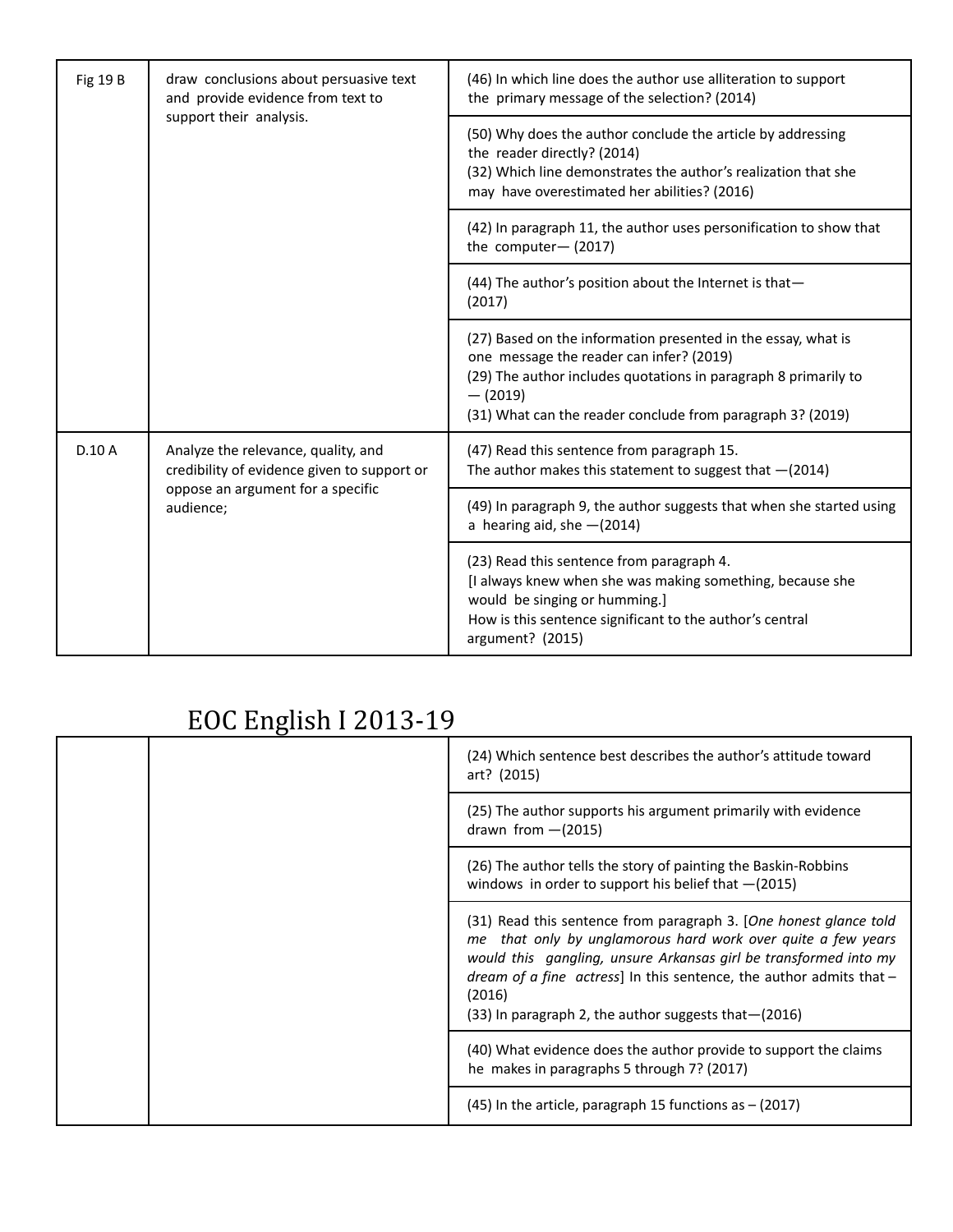| draw conclusions about persuasive text<br><b>Fig 19 B</b><br>and provide evidence from text to<br>support their analysis. |                                                                                                                                      | (46) In which line does the author use alliteration to support<br>the primary message of the selection? (2014)                                                                                                                                           |
|---------------------------------------------------------------------------------------------------------------------------|--------------------------------------------------------------------------------------------------------------------------------------|----------------------------------------------------------------------------------------------------------------------------------------------------------------------------------------------------------------------------------------------------------|
|                                                                                                                           |                                                                                                                                      | (50) Why does the author conclude the article by addressing<br>the reader directly? (2014)<br>(32) Which line demonstrates the author's realization that she<br>may have overestimated her abilities? (2016)                                             |
|                                                                                                                           |                                                                                                                                      | (42) In paragraph 11, the author uses personification to show that<br>the computer- $(2017)$                                                                                                                                                             |
|                                                                                                                           |                                                                                                                                      | (44) The author's position about the Internet is that-<br>(2017)                                                                                                                                                                                         |
|                                                                                                                           |                                                                                                                                      | (27) Based on the information presented in the essay, what is<br>one message the reader can infer? (2019)<br>(29) The author includes quotations in paragraph 8 primarily to<br>$-$ (2019)<br>(31) What can the reader conclude from paragraph 3? (2019) |
| D.10A                                                                                                                     | Analyze the relevance, quality, and<br>credibility of evidence given to support or<br>oppose an argument for a specific<br>audience; | (47) Read this sentence from paragraph 15.<br>The author makes this statement to suggest that $-(2014)$                                                                                                                                                  |
|                                                                                                                           |                                                                                                                                      | (49) In paragraph 9, the author suggests that when she started using<br>a hearing aid, she $-(2014)$                                                                                                                                                     |
|                                                                                                                           |                                                                                                                                      | (23) Read this sentence from paragraph 4.<br>[I always knew when she was making something, because she<br>would be singing or humming.]<br>How is this sentence significant to the author's central<br>argument? (2015)                                  |

|  | (24) Which sentence best describes the author's attitude toward<br>art? (2015)                                                                                                                                                                                                                                                                              |
|--|-------------------------------------------------------------------------------------------------------------------------------------------------------------------------------------------------------------------------------------------------------------------------------------------------------------------------------------------------------------|
|  | (25) The author supports his argument primarily with evidence<br>drawn from $-(2015)$                                                                                                                                                                                                                                                                       |
|  | (26) The author tells the story of painting the Baskin-Robbins<br>windows in order to support his belief that $-(2015)$                                                                                                                                                                                                                                     |
|  | (31) Read this sentence from paragraph 3. [One honest glance told<br>me that only by unglamorous hard work over quite a few years<br>would this gangling, unsure Arkansas girl be transformed into my<br>dream of a fine $\alpha$ actress] In this sentence, the author admits that $-$<br>(2016)<br>(33) In paragraph 2, the author suggests that - (2016) |
|  | (40) What evidence does the author provide to support the claims<br>he makes in paragraphs 5 through 7? (2017)                                                                                                                                                                                                                                              |
|  | $(45)$ In the article, paragraph 15 functions as $-$ (2017)                                                                                                                                                                                                                                                                                                 |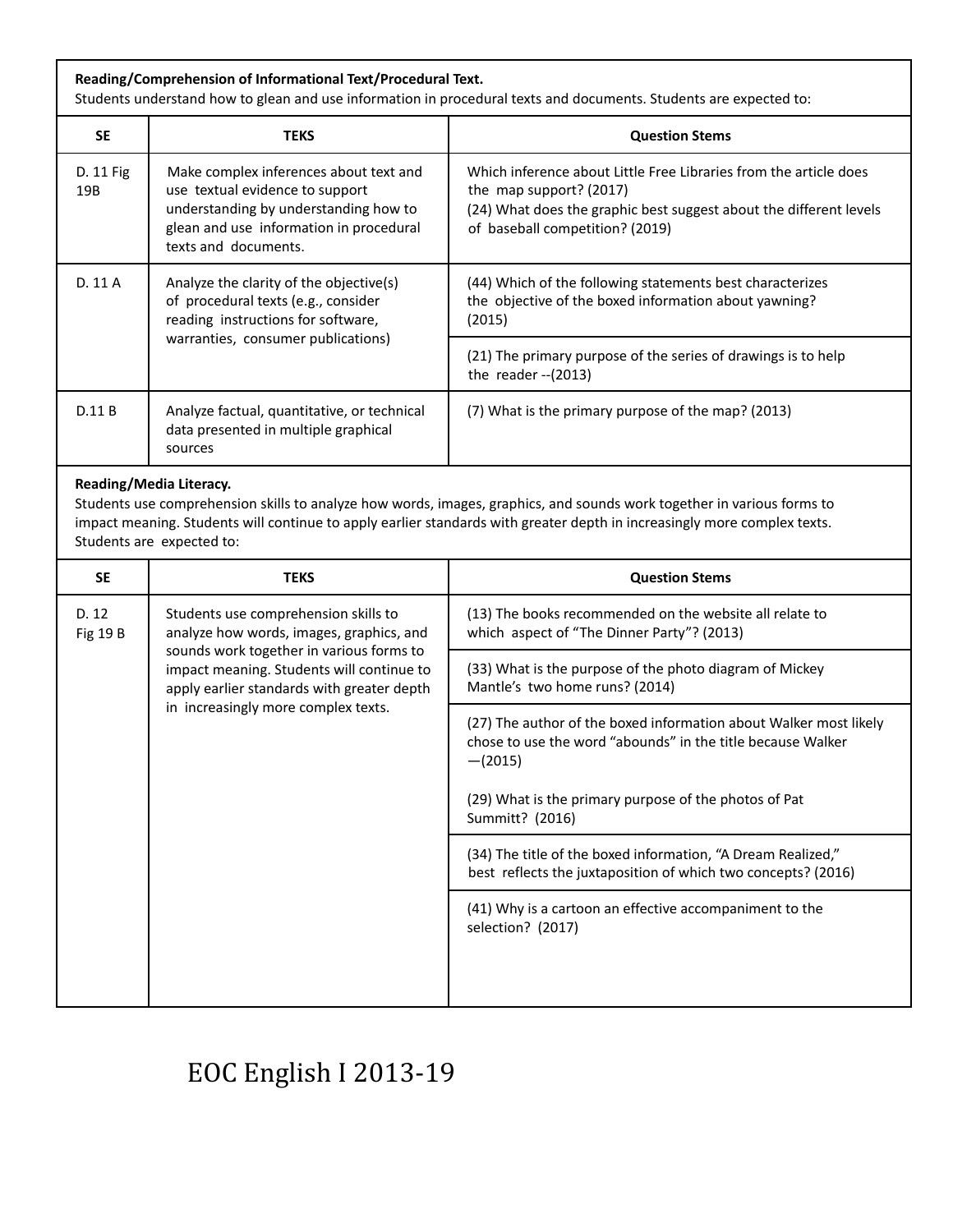| Reading/Comprehension of Informational Text/Procedural Text.<br>Students understand how to glean and use information in procedural texts and documents. Students are expected to:                                                                                                                          |                                                                                                                                                                                                                                                                |                                                                                                                                                                                                       |
|------------------------------------------------------------------------------------------------------------------------------------------------------------------------------------------------------------------------------------------------------------------------------------------------------------|----------------------------------------------------------------------------------------------------------------------------------------------------------------------------------------------------------------------------------------------------------------|-------------------------------------------------------------------------------------------------------------------------------------------------------------------------------------------------------|
| <b>SE</b>                                                                                                                                                                                                                                                                                                  | <b>TEKS</b>                                                                                                                                                                                                                                                    | <b>Question Stems</b>                                                                                                                                                                                 |
| D. 11 Fig<br>19B                                                                                                                                                                                                                                                                                           | Make complex inferences about text and<br>use textual evidence to support<br>understanding by understanding how to<br>glean and use information in procedural<br>texts and documents.                                                                          | Which inference about Little Free Libraries from the article does<br>the map support? (2017)<br>(24) What does the graphic best suggest about the different levels<br>of baseball competition? (2019) |
| D. 11 A                                                                                                                                                                                                                                                                                                    | Analyze the clarity of the objective(s)<br>of procedural texts (e.g., consider<br>reading instructions for software,<br>warranties, consumer publications)                                                                                                     | (44) Which of the following statements best characterizes<br>the objective of the boxed information about yawning?<br>(2015)                                                                          |
|                                                                                                                                                                                                                                                                                                            |                                                                                                                                                                                                                                                                | (21) The primary purpose of the series of drawings is to help<br>the reader $-(2013)$                                                                                                                 |
| D.11 B                                                                                                                                                                                                                                                                                                     | Analyze factual, quantitative, or technical<br>data presented in multiple graphical<br>sources                                                                                                                                                                 | (7) What is the primary purpose of the map? (2013)                                                                                                                                                    |
| Reading/Media Literacy.<br>Students use comprehension skills to analyze how words, images, graphics, and sounds work together in various forms to<br>impact meaning. Students will continue to apply earlier standards with greater depth in increasingly more complex texts.<br>Students are expected to: |                                                                                                                                                                                                                                                                |                                                                                                                                                                                                       |
| <b>SE</b>                                                                                                                                                                                                                                                                                                  | <b>TEKS</b>                                                                                                                                                                                                                                                    | <b>Question Stems</b>                                                                                                                                                                                 |
| D. 12<br><b>Fig 19 B</b>                                                                                                                                                                                                                                                                                   | Students use comprehension skills to<br>analyze how words, images, graphics, and<br>sounds work together in various forms to<br>impact meaning. Students will continue to<br>apply earlier standards with greater depth<br>in increasingly more complex texts. | (13) The books recommended on the website all relate to<br>which aspect of "The Dinner Party"? (2013)                                                                                                 |
|                                                                                                                                                                                                                                                                                                            |                                                                                                                                                                                                                                                                | (33) What is the purpose of the photo diagram of Mickey<br>Mantle's two home runs? (2014)                                                                                                             |
|                                                                                                                                                                                                                                                                                                            |                                                                                                                                                                                                                                                                | (27) The author of the boxed information about Walker most likely<br>chose to use the word "abounds" in the title because Walker<br>$-(2015)$                                                         |
|                                                                                                                                                                                                                                                                                                            |                                                                                                                                                                                                                                                                | (29) What is the primary purpose of the photos of Pat<br>Summitt? (2016)                                                                                                                              |
|                                                                                                                                                                                                                                                                                                            |                                                                                                                                                                                                                                                                | (34) The title of the boxed information, "A Dream Realized,"<br>best reflects the juxtaposition of which two concepts? (2016)                                                                         |
|                                                                                                                                                                                                                                                                                                            |                                                                                                                                                                                                                                                                | (41) Why is a cartoon an effective accompaniment to the<br>selection? (2017)                                                                                                                          |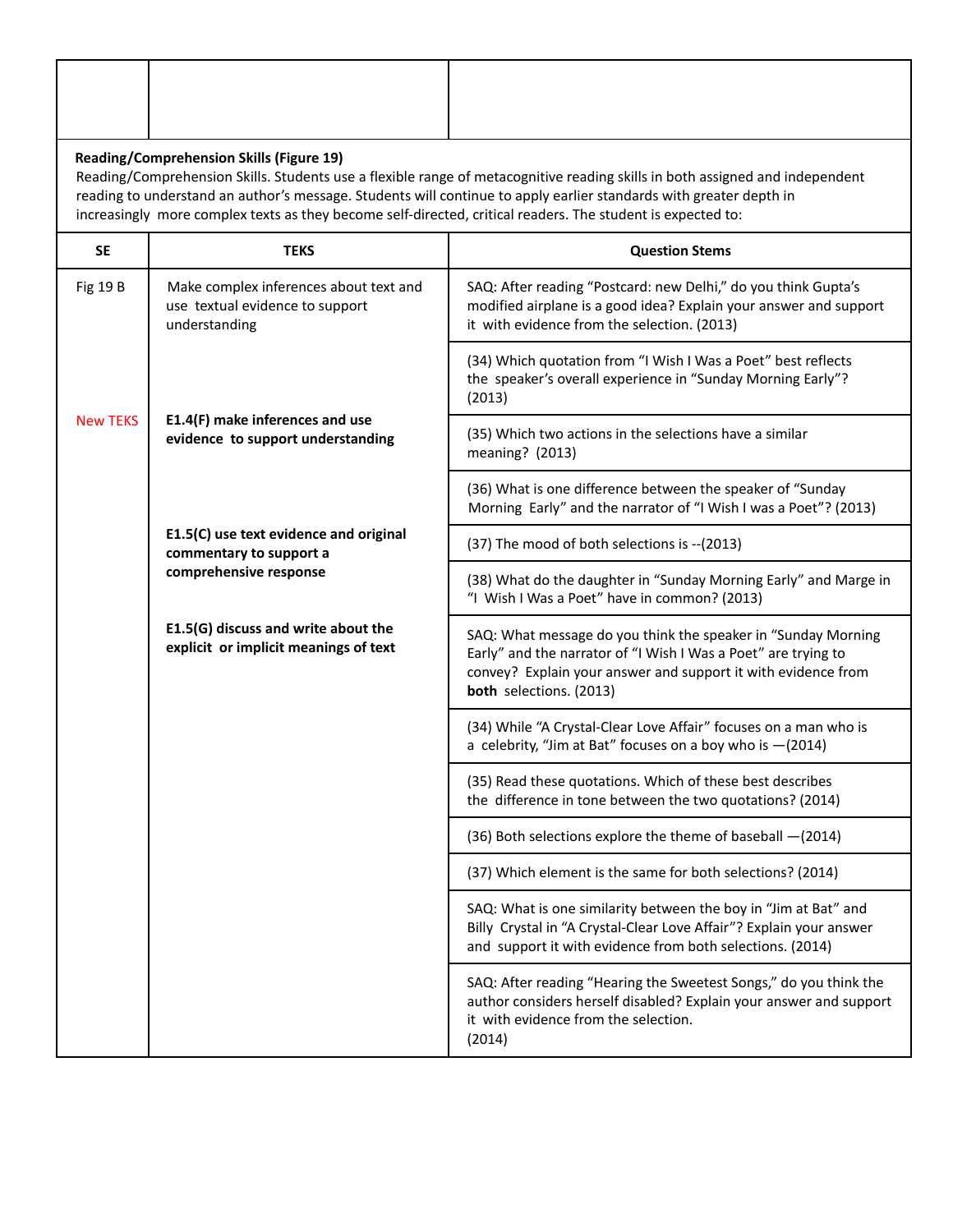| <b>Reading/Comprehension Skills (Figure 19)</b><br>Reading/Comprehension Skills. Students use a flexible range of metacognitive reading skills in both assigned and independent<br>reading to understand an author's message. Students will continue to apply earlier standards with greater depth in<br>increasingly more complex texts as they become self-directed, critical readers. The student is expected to: |                                                                                                                                                                     |                                                                                                                                                                                                                             |
|----------------------------------------------------------------------------------------------------------------------------------------------------------------------------------------------------------------------------------------------------------------------------------------------------------------------------------------------------------------------------------------------------------------------|---------------------------------------------------------------------------------------------------------------------------------------------------------------------|-----------------------------------------------------------------------------------------------------------------------------------------------------------------------------------------------------------------------------|
| <b>SE</b>                                                                                                                                                                                                                                                                                                                                                                                                            | <b>TEKS</b>                                                                                                                                                         | <b>Ouestion Stems</b>                                                                                                                                                                                                       |
| <b>Fig 19 B</b>                                                                                                                                                                                                                                                                                                                                                                                                      | Make complex inferences about text and<br>use textual evidence to support<br>understanding                                                                          | SAQ: After reading "Postcard: new Delhi," do you think Gupta's<br>modified airplane is a good idea? Explain your answer and support<br>it with evidence from the selection. (2013)                                          |
|                                                                                                                                                                                                                                                                                                                                                                                                                      |                                                                                                                                                                     | (34) Which quotation from "I Wish I Was a Poet" best reflects<br>the speaker's overall experience in "Sunday Morning Early"?<br>(2013)                                                                                      |
| <b>New TEKS</b>                                                                                                                                                                                                                                                                                                                                                                                                      | E1.4(F) make inferences and use<br>evidence to support understanding<br>E1.5(C) use text evidence and original<br>commentary to support a<br>comprehensive response | (35) Which two actions in the selections have a similar<br>meaning? (2013)                                                                                                                                                  |
|                                                                                                                                                                                                                                                                                                                                                                                                                      |                                                                                                                                                                     | (36) What is one difference between the speaker of "Sunday<br>Morning Early" and the narrator of "I Wish I was a Poet"? (2013)                                                                                              |
|                                                                                                                                                                                                                                                                                                                                                                                                                      |                                                                                                                                                                     | (37) The mood of both selections is -- (2013)                                                                                                                                                                               |
|                                                                                                                                                                                                                                                                                                                                                                                                                      |                                                                                                                                                                     | (38) What do the daughter in "Sunday Morning Early" and Marge in<br>"I Wish I Was a Poet" have in common? (2013)                                                                                                            |
|                                                                                                                                                                                                                                                                                                                                                                                                                      | E1.5(G) discuss and write about the<br>explicit or implicit meanings of text                                                                                        | SAQ: What message do you think the speaker in "Sunday Morning<br>Early" and the narrator of "I Wish I Was a Poet" are trying to<br>convey? Explain your answer and support it with evidence from<br>both selections. (2013) |
|                                                                                                                                                                                                                                                                                                                                                                                                                      |                                                                                                                                                                     | (34) While "A Crystal-Clear Love Affair" focuses on a man who is<br>a celebrity, "Jim at Bat" focuses on a boy who is $-(2014)$                                                                                             |
|                                                                                                                                                                                                                                                                                                                                                                                                                      |                                                                                                                                                                     | (35) Read these quotations. Which of these best describes<br>the difference in tone between the two quotations? (2014)                                                                                                      |
|                                                                                                                                                                                                                                                                                                                                                                                                                      |                                                                                                                                                                     | (36) Both selections explore the theme of baseball -(2014)                                                                                                                                                                  |
|                                                                                                                                                                                                                                                                                                                                                                                                                      |                                                                                                                                                                     | (37) Which element is the same for both selections? (2014)                                                                                                                                                                  |
|                                                                                                                                                                                                                                                                                                                                                                                                                      |                                                                                                                                                                     | SAQ: What is one similarity between the boy in "Jim at Bat" and<br>Billy Crystal in "A Crystal-Clear Love Affair"? Explain your answer<br>and support it with evidence from both selections. (2014)                         |
|                                                                                                                                                                                                                                                                                                                                                                                                                      |                                                                                                                                                                     | SAQ: After reading "Hearing the Sweetest Songs," do you think the<br>author considers herself disabled? Explain your answer and support<br>it with evidence from the selection.<br>(2014)                                   |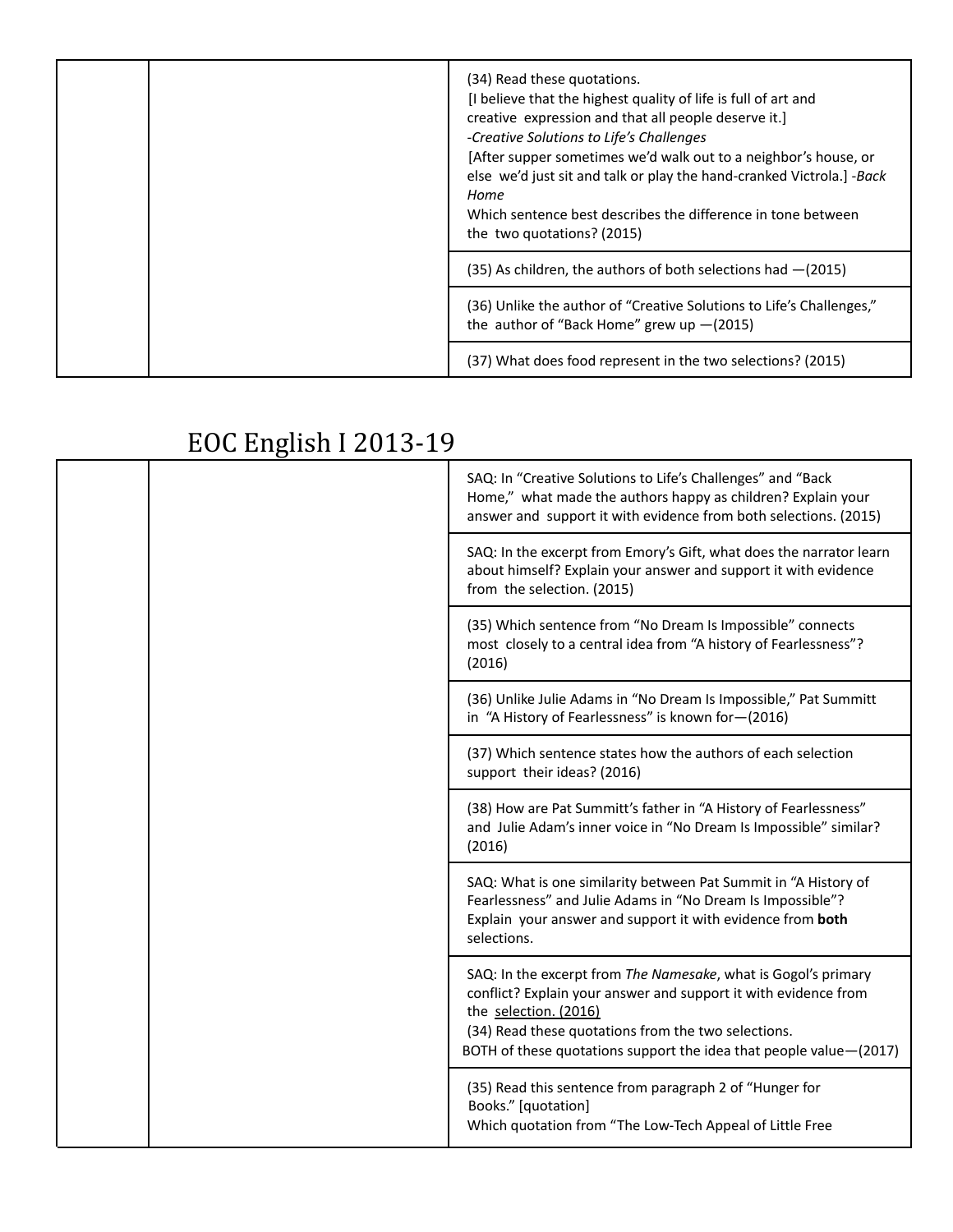|  | (34) Read these quotations.<br>[I believe that the highest quality of life is full of art and<br>creative expression and that all people deserve it.]<br>-Creative Solutions to Life's Challenges<br>[After supper sometimes we'd walk out to a neighbor's house, or<br>else we'd just sit and talk or play the hand-cranked Victrola.] -Back<br>Home<br>Which sentence best describes the difference in tone between<br>the two quotations? (2015) |
|--|-----------------------------------------------------------------------------------------------------------------------------------------------------------------------------------------------------------------------------------------------------------------------------------------------------------------------------------------------------------------------------------------------------------------------------------------------------|
|  | $(35)$ As children, the authors of both selections had $-(2015)$                                                                                                                                                                                                                                                                                                                                                                                    |
|  | (36) Unlike the author of "Creative Solutions to Life's Challenges,"<br>the author of "Back Home" grew up $-(2015)$                                                                                                                                                                                                                                                                                                                                 |
|  | (37) What does food represent in the two selections? (2015)                                                                                                                                                                                                                                                                                                                                                                                         |

|  |                                                                                                                                                                      | SAQ: In "Creative Solutions to Life's Challenges" and "Back                                                                                                                                                                                                                             |
|--|----------------------------------------------------------------------------------------------------------------------------------------------------------------------|-----------------------------------------------------------------------------------------------------------------------------------------------------------------------------------------------------------------------------------------------------------------------------------------|
|  |                                                                                                                                                                      | Home," what made the authors happy as children? Explain your<br>answer and support it with evidence from both selections. (2015)                                                                                                                                                        |
|  | SAQ: In the excerpt from Emory's Gift, what does the narrator learn<br>about himself? Explain your answer and support it with evidence<br>from the selection. (2015) |                                                                                                                                                                                                                                                                                         |
|  | (35) Which sentence from "No Dream Is Impossible" connects<br>most closely to a central idea from "A history of Fearlessness"?<br>(2016)                             |                                                                                                                                                                                                                                                                                         |
|  |                                                                                                                                                                      | (36) Unlike Julie Adams in "No Dream Is Impossible," Pat Summitt<br>in "A History of Fearlessness" is known for-(2016)                                                                                                                                                                  |
|  |                                                                                                                                                                      | (37) Which sentence states how the authors of each selection<br>support their ideas? (2016)                                                                                                                                                                                             |
|  |                                                                                                                                                                      | (38) How are Pat Summitt's father in "A History of Fearlessness"<br>and Julie Adam's inner voice in "No Dream Is Impossible" similar?<br>(2016)                                                                                                                                         |
|  |                                                                                                                                                                      | SAQ: What is one similarity between Pat Summit in "A History of<br>Fearlessness" and Julie Adams in "No Dream Is Impossible"?<br>Explain your answer and support it with evidence from both<br>selections.                                                                              |
|  |                                                                                                                                                                      | SAQ: In the excerpt from The Namesake, what is Gogol's primary<br>conflict? Explain your answer and support it with evidence from<br>the selection. (2016)<br>(34) Read these quotations from the two selections.<br>BOTH of these quotations support the idea that people value-(2017) |
|  |                                                                                                                                                                      | (35) Read this sentence from paragraph 2 of "Hunger for<br>Books." [quotation]<br>Which quotation from "The Low-Tech Appeal of Little Free                                                                                                                                              |